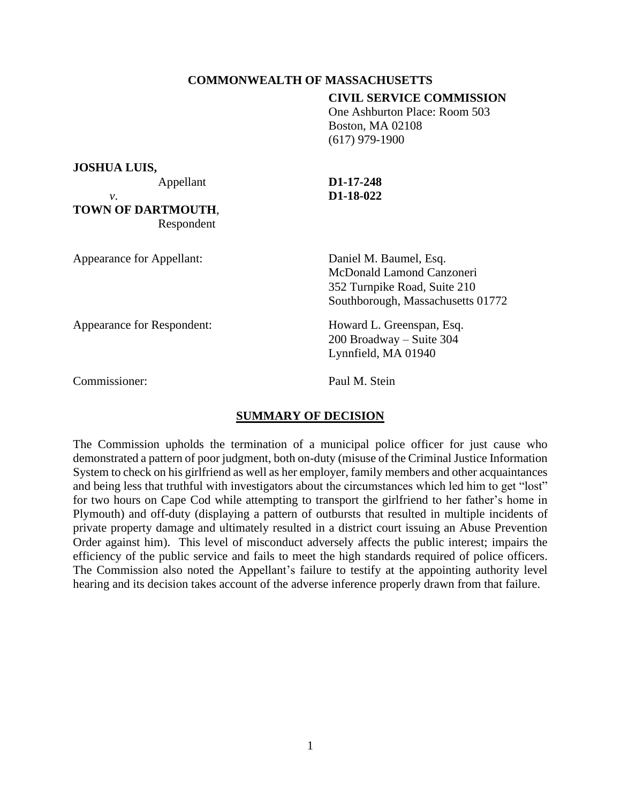# **COMMONWEALTH OF MASSACHUSETTS**

## **CIVIL SERVICE COMMISSION**

 One Ashburton Place: Room 503 Boston, MA 02108 (617) 979-1900

**JOSHUA LUIS,**

**TOWN OF DARTMOUTH**, Respondent

# Appellant **D1-17-248** *v*. **D1-18-022**

Appearance for Appellant: Daniel M. Baumel, Esq. McDonald Lamond Canzoneri 352 Turnpike Road, Suite 210 Southborough, Massachusetts 01772 Appearance for Respondent: Howard L. Greenspan, Esq. 200 Broadway – Suite 304 Lynnfield, MA 01940

Commissioner: Paul M. Stein

# **SUMMARY OF DECISION**

The Commission upholds the termination of a municipal police officer for just cause who demonstrated a pattern of poor judgment, both on-duty (misuse of the Criminal Justice Information System to check on his girlfriend as well as her employer, family members and other acquaintances and being less that truthful with investigators about the circumstances which led him to get "lost" for two hours on Cape Cod while attempting to transport the girlfriend to her father's home in Plymouth) and off-duty (displaying a pattern of outbursts that resulted in multiple incidents of private property damage and ultimately resulted in a district court issuing an Abuse Prevention Order against him). This level of misconduct adversely affects the public interest; impairs the efficiency of the public service and fails to meet the high standards required of police officers. The Commission also noted the Appellant's failure to testify at the appointing authority level hearing and its decision takes account of the adverse inference properly drawn from that failure.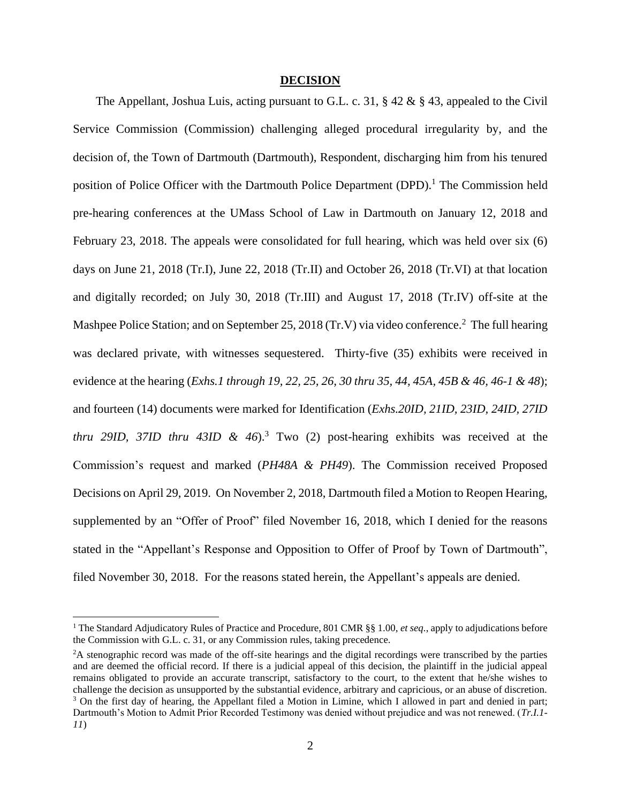#### **DECISION**

The Appellant, Joshua Luis, acting pursuant to G.L. c. 31,  $\S 42 \& \S 43$ , appealed to the Civil Service Commission (Commission) challenging alleged procedural irregularity by, and the decision of, the Town of Dartmouth (Dartmouth), Respondent, discharging him from his tenured position of Police Officer with the Dartmouth Police Department  $(DPD)$ .<sup>1</sup> The Commission held pre-hearing conferences at the UMass School of Law in Dartmouth on January 12, 2018 and February 23, 2018. The appeals were consolidated for full hearing, which was held over six (6) days on June 21, 2018 (Tr.I), June 22, 2018 (Tr.II) and October 26, 2018 (Tr.VI) at that location and digitally recorded; on July 30, 2018 (Tr.III) and August 17, 2018 (Tr.IV) off-site at the Mashpee Police Station; and on September 25, 2018 (Tr.V) via video conference.<sup>2</sup> The full hearing was declared private, with witnesses sequestered. Thirty-five (35) exhibits were received in evidence at the hearing (*Exhs.1 through 19, 22, 25, 26, 30 thru 35, 44, 45A, 45B & 46, 46-1 & 48*); and fourteen (14) documents were marked for Identification (*Exhs.20ID, 21ID, 23ID, 24ID, 27ID thru 29ID, 37ID thru 43ID & 46*). <sup>3</sup> Two (2) post-hearing exhibits was received at the Commission's request and marked (*PH48A & PH49*). The Commission received Proposed Decisions on April 29, 2019. On November 2, 2018, Dartmouth filed a Motion to Reopen Hearing, supplemented by an "Offer of Proof" filed November 16, 2018, which I denied for the reasons stated in the "Appellant's Response and Opposition to Offer of Proof by Town of Dartmouth", filed November 30, 2018. For the reasons stated herein, the Appellant's appeals are denied.

<sup>1</sup> The Standard Adjudicatory Rules of Practice and Procedure, 801 CMR §§ 1.00, *et seq.*, apply to adjudications before the Commission with G.L. c. 31, or any Commission rules, taking precedence.

<sup>&</sup>lt;sup>2</sup>A stenographic record was made of the off-site hearings and the digital recordings were transcribed by the parties and are deemed the official record. If there is a judicial appeal of this decision, the plaintiff in the judicial appeal remains obligated to provide an accurate transcript, satisfactory to the court, to the extent that he/she wishes to challenge the decision as unsupported by the substantial evidence, arbitrary and capricious, or an abuse of discretion. <sup>3</sup> On the first day of hearing, the Appellant filed a Motion in Limine, which I allowed in part and denied in part; Dartmouth's Motion to Admit Prior Recorded Testimony was denied without prejudice and was not renewed. (*Tr.I.1- 11*)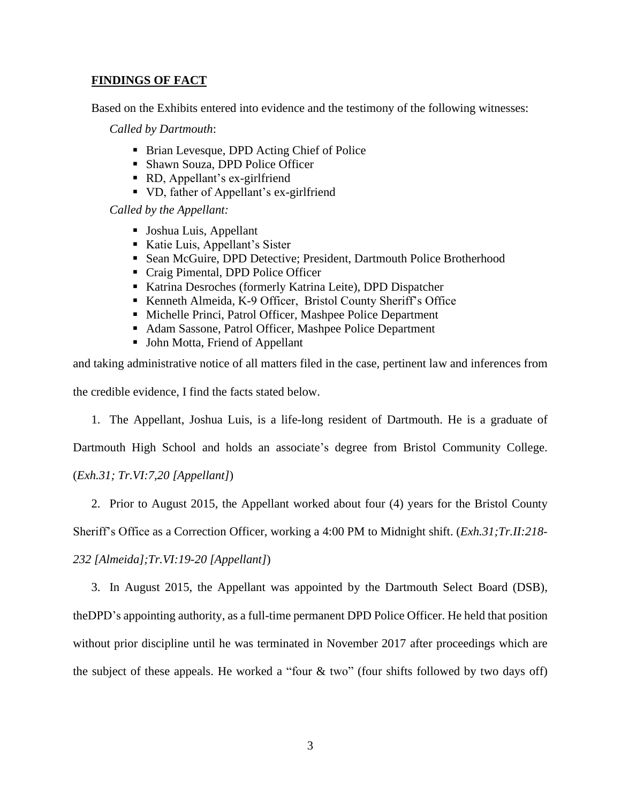# **FINDINGS OF FACT**

Based on the Exhibits entered into evidence and the testimony of the following witnesses:

*Called by Dartmouth*:

- Brian Levesque, DPD Acting Chief of Police
- Shawn Souza, DPD Police Officer
- RD, Appellant's ex-girlfriend
- VD, father of Appellant's ex-girlfriend

*Called by the Appellant:*

- Joshua Luis, Appellant
- Katie Luis, Appellant's Sister
- Sean McGuire, DPD Detective; President, Dartmouth Police Brotherhood
- Craig Pimental, DPD Police Officer
- Katrina Desroches (formerly Katrina Leite), DPD Dispatcher
- Kenneth Almeida, K-9 Officer, Bristol County Sheriff's Office
- Michelle Princi, Patrol Officer, Mashpee Police Department
- Adam Sassone, Patrol Officer, Mashpee Police Department
- John Motta, Friend of Appellant

and taking administrative notice of all matters filed in the case, pertinent law and inferences from the credible evidence, I find the facts stated below.

1. The Appellant, Joshua Luis, is a life-long resident of Dartmouth. He is a graduate of

Dartmouth High School and holds an associate's degree from Bristol Community College.

(*Exh.31; Tr.VI:7,20 [Appellant]*)

2. Prior to August 2015, the Appellant worked about four (4) years for the Bristol County

Sheriff's Office as a Correction Officer, working a 4:00 PM to Midnight shift. (*Exh.31;Tr.II:218-*

*232 [Almeida];Tr.VI:19-20 [Appellant]*)

3. In August 2015, the Appellant was appointed by the Dartmouth Select Board (DSB),

theDPD's appointing authority, as a full-time permanent DPD Police Officer. He held that position without prior discipline until he was terminated in November 2017 after proceedings which are the subject of these appeals. He worked a "four  $\&$  two" (four shifts followed by two days off)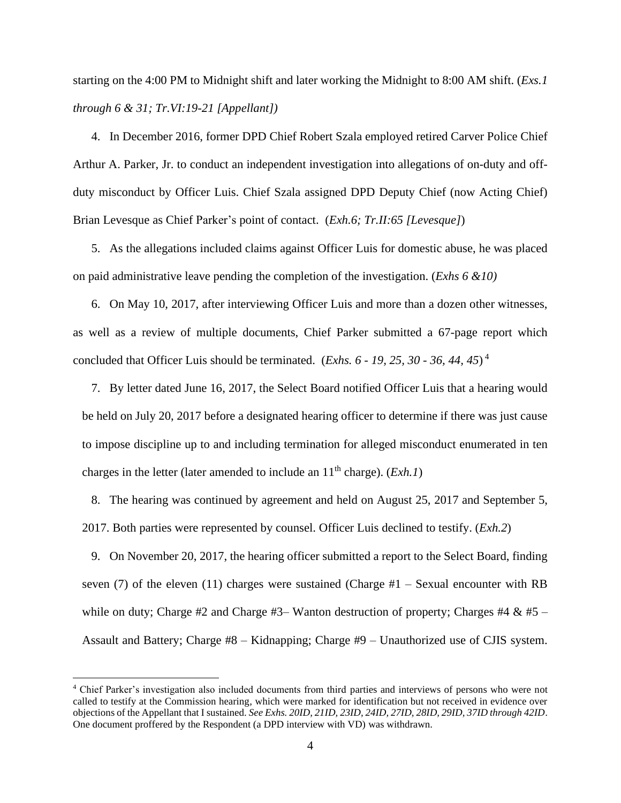starting on the 4:00 PM to Midnight shift and later working the Midnight to 8:00 AM shift. (*Exs.1 through 6 & 31; Tr.VI:19-21 [Appellant])*

4. In December 2016, former DPD Chief Robert Szala employed retired Carver Police Chief Arthur A. Parker, Jr. to conduct an independent investigation into allegations of on-duty and offduty misconduct by Officer Luis. Chief Szala assigned DPD Deputy Chief (now Acting Chief) Brian Levesque as Chief Parker's point of contact. (*Exh.6; Tr.II:65 [Levesque]*)

5. As the allegations included claims against Officer Luis for domestic abuse, he was placed on paid administrative leave pending the completion of the investigation. (*Exhs 6 &10)*

6. On May 10, 2017, after interviewing Officer Luis and more than a dozen other witnesses, as well as a review of multiple documents, Chief Parker submitted a 67-page report which concluded that Officer Luis should be terminated. (*Exhs. 6 - 19, 25, 30 - 36, 44, 45*) 4

7. By letter dated June 16, 2017, the Select Board notified Officer Luis that a hearing would be held on July 20, 2017 before a designated hearing officer to determine if there was just cause to impose discipline up to and including termination for alleged misconduct enumerated in ten charges in the letter (later amended to include an  $11<sup>th</sup>$  charge). (*Exh.1*)

8. The hearing was continued by agreement and held on August 25, 2017 and September 5, 2017. Both parties were represented by counsel. Officer Luis declined to testify. (*Exh.2*)

9. On November 20, 2017, the hearing officer submitted a report to the Select Board, finding seven (7) of the eleven (11) charges were sustained (Charge  $#1 -$  Sexual encounter with RB while on duty; Charge #2 and Charge #3– Wanton destruction of property; Charges #4 & #5 – Assault and Battery; Charge #8 – Kidnapping; Charge #9 – Unauthorized use of CJIS system.

<sup>4</sup> Chief Parker's investigation also included documents from third parties and interviews of persons who were not called to testify at the Commission hearing, which were marked for identification but not received in evidence over objections of the Appellant that I sustained. *See Exhs. 20ID, 21ID, 23ID, 24ID, 27ID, 28ID, 29ID, 37ID through 42ID*. One document proffered by the Respondent (a DPD interview with VD) was withdrawn.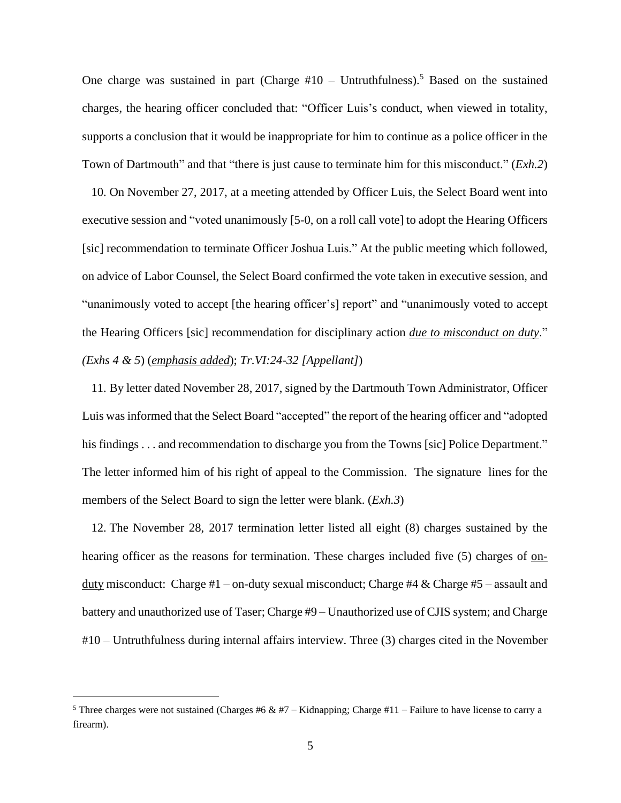One charge was sustained in part (Charge  $#10 -$  Untruthfulness).<sup>5</sup> Based on the sustained charges, the hearing officer concluded that: "Officer Luis's conduct, when viewed in totality, supports a conclusion that it would be inappropriate for him to continue as a police officer in the Town of Dartmouth" and that "there is just cause to terminate him for this misconduct." (*Exh.2*)

10. On November 27, 2017, at a meeting attended by Officer Luis, the Select Board went into executive session and "voted unanimously [5-0, on a roll call vote] to adopt the Hearing Officers [sic] recommendation to terminate Officer Joshua Luis." At the public meeting which followed, on advice of Labor Counsel, the Select Board confirmed the vote taken in executive session, and "unanimously voted to accept [the hearing officer's] report" and "unanimously voted to accept the Hearing Officers [sic] recommendation for disciplinary action *due to misconduct on duty*." *(Exhs 4 & 5*) (*emphasis added*); *Tr.VI:24-32 [Appellant]*)

11. By letter dated November 28, 2017, signed by the Dartmouth Town Administrator, Officer Luis wasinformed that the Select Board "accepted" the report of the hearing officer and "adopted his findings . . . and recommendation to discharge you from the Towns [sic] Police Department." The letter informed him of his right of appeal to the Commission. The signature lines for the members of the Select Board to sign the letter were blank. (*Exh.3*)

12. The November 28, 2017 termination letter listed all eight (8) charges sustained by the hearing officer as the reasons for termination. These charges included five (5) charges of onduty misconduct: Charge #1 – on-duty sexual misconduct; Charge #4 & Charge #5 – assault and battery and unauthorized use of Taser; Charge #9 – Unauthorized use of CJIS system; and Charge #10 – Untruthfulness during internal affairs interview. Three (3) charges cited in the November

<sup>&</sup>lt;sup>5</sup> Three charges were not sustained (Charges #6 & #7 – Kidnapping; Charge #11 – Failure to have license to carry a firearm).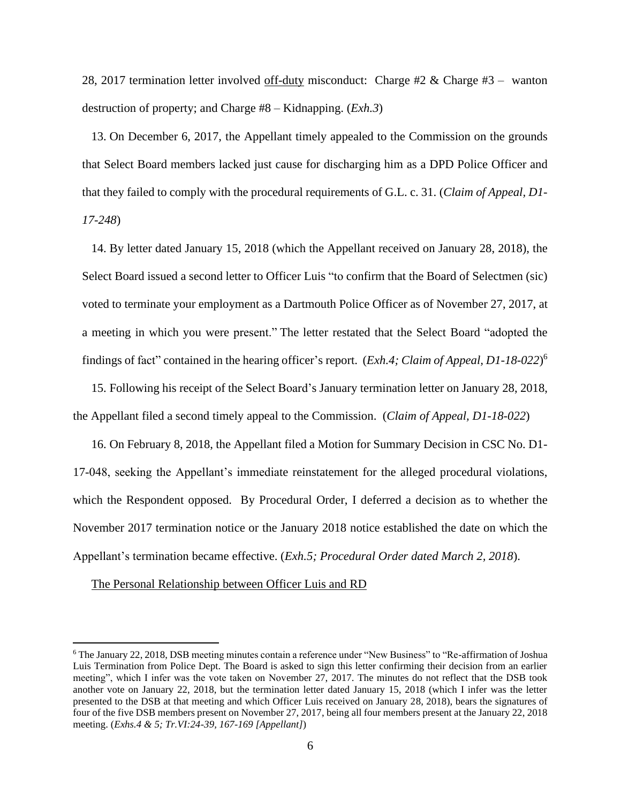28, 2017 termination letter involved off-duty misconduct: Charge #2 & Charge #3 – wanton destruction of property; and Charge #8 – Kidnapping. (*Exh.3*)

13. On December 6, 2017, the Appellant timely appealed to the Commission on the grounds that Select Board members lacked just cause for discharging him as a DPD Police Officer and that they failed to comply with the procedural requirements of G.L. c. 31. (*Claim of Appeal, D1- 17-248*)

14. By letter dated January 15, 2018 (which the Appellant received on January 28, 2018), the Select Board issued a second letter to Officer Luis "to confirm that the Board of Selectmen (sic) voted to terminate your employment as a Dartmouth Police Officer as of November 27, 2017, at a meeting in which you were present." The letter restated that the Select Board "adopted the findings of fact" contained in the hearing officer's report. (*Exh.4; Claim of Appeal, D1-18-022*) 6

15. Following his receipt of the Select Board's January termination letter on January 28, 2018, the Appellant filed a second timely appeal to the Commission. (*Claim of Appeal, D1-18-022*)

16. On February 8, 2018, the Appellant filed a Motion for Summary Decision in CSC No. D1- 17-048, seeking the Appellant's immediate reinstatement for the alleged procedural violations, which the Respondent opposed. By Procedural Order, I deferred a decision as to whether the November 2017 termination notice or the January 2018 notice established the date on which the Appellant's termination became effective. (*Exh.5; Procedural Order dated March 2, 2018*).

The Personal Relationship between Officer Luis and RD

<sup>6</sup> The January 22, 2018, DSB meeting minutes contain a reference under "New Business" to "Re-affirmation of Joshua Luis Termination from Police Dept. The Board is asked to sign this letter confirming their decision from an earlier meeting", which I infer was the vote taken on November 27, 2017. The minutes do not reflect that the DSB took another vote on January 22, 2018, but the termination letter dated January 15, 2018 (which I infer was the letter presented to the DSB at that meeting and which Officer Luis received on January 28, 2018), bears the signatures of four of the five DSB members present on November 27, 2017, being all four members present at the January 22, 2018 meeting. (*Exhs.4 & 5; Tr.VI:24-39, 167-169 [Appellant]*)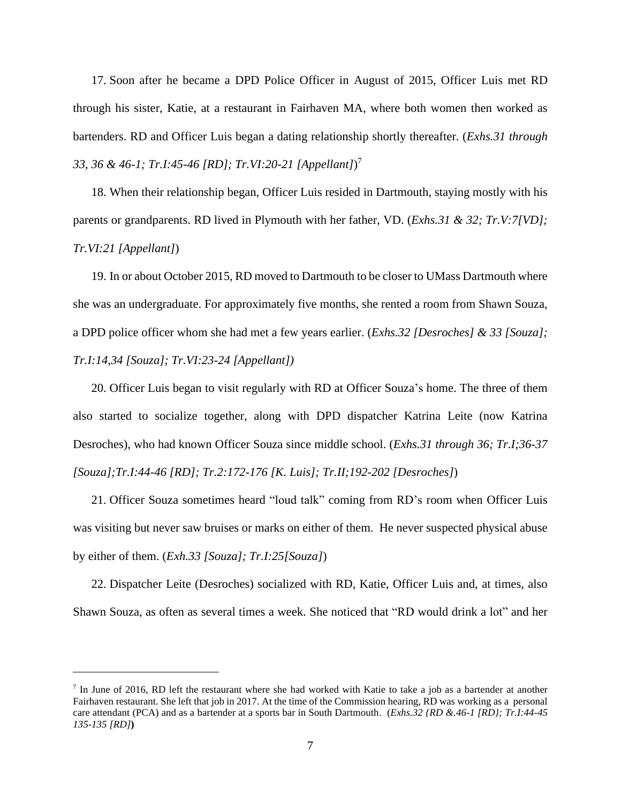17. Soon after he became a DPD Police Officer in August of 2015, Officer Luis met RD through his sister, Katie, at a restaurant in Fairhaven MA, where both women then worked as bartenders. RD and Officer Luis began a dating relationship shortly thereafter. (*Exhs.31 through 33, 36 & 46-1; Tr.I:45-46 [RD]; Tr.VI:20-21 [Appellant]*) 7

18. When their relationship began, Officer Luis resided in Dartmouth, staying mostly with his parents or grandparents. RD lived in Plymouth with her father, VD. (*Exhs.31 & 32; Tr.V:7[VD]; Tr.VI:21 [Appellant]*)

19. In or about October 2015, RD moved to Dartmouth to be closer to UMass Dartmouth where she was an undergraduate. For approximately five months, she rented a room from Shawn Souza, a DPD police officer whom she had met a few years earlier. (*Exhs.32 [Desroches] & 33 [Souza]; Tr.I:14,34 [Souza]; Tr.VI:23-24 [Appellant])*

20. Officer Luis began to visit regularly with RD at Officer Souza's home. The three of them also started to socialize together, along with DPD dispatcher Katrina Leite (now Katrina Desroches), who had known Officer Souza since middle school. (*Exhs.31 through 36; Tr.I;36-37 [Souza];Tr.I:44-46 [RD]; Tr.2:172-176 [K. Luis]; Tr.II;192-202 [Desroches]*)

21. Officer Souza sometimes heard "loud talk" coming from RD's room when Officer Luis was visiting but never saw bruises or marks on either of them. He never suspected physical abuse by either of them. (*Exh.33 [Souza]; Tr.I:25[Souza]*)

22. Dispatcher Leite (Desroches) socialized with RD, Katie, Officer Luis and, at times, also Shawn Souza, as often as several times a week. She noticed that "RD would drink a lot" and her

In June of 2016, RD left the restaurant where she had worked with Katie to take a job as a bartender at another Fairhaven restaurant. She left that job in 2017. At the time of the Commission hearing, RD was working as a personal care attendant (PCA) and as a bartender at a sports bar in South Dartmouth. (*Exhs.32 {RD &.46-1 [RD}; Tr.I:44-45 135-135 [RD]***)**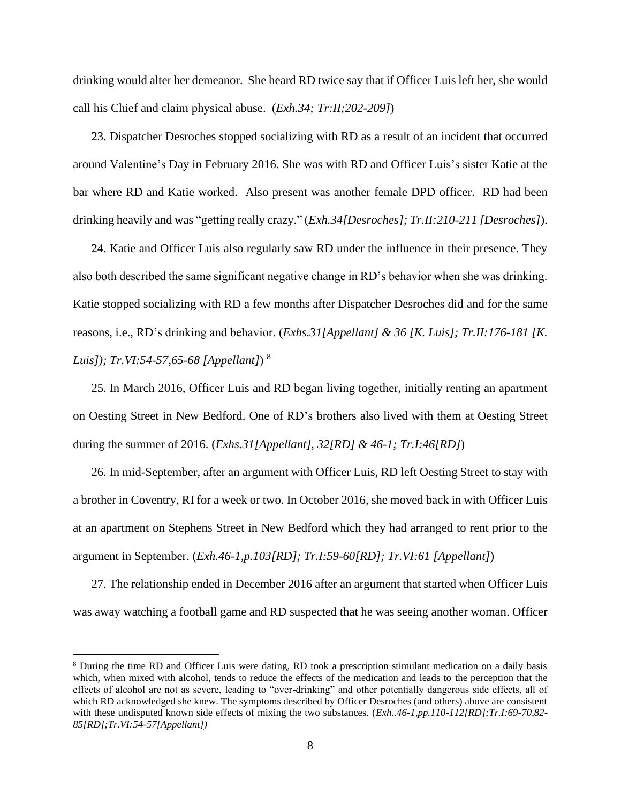drinking would alter her demeanor. She heard RD twice say that if Officer Luis left her, she would call his Chief and claim physical abuse. (*Exh.34; Tr:II;202-209]*)

23. Dispatcher Desroches stopped socializing with RD as a result of an incident that occurred around Valentine's Day in February 2016. She was with RD and Officer Luis's sister Katie at the bar where RD and Katie worked. Also present was another female DPD officer. RD had been drinking heavily and was "getting really crazy." (*Exh.34[Desroches]; Tr.II:210-211 [Desroches]*).

24. Katie and Officer Luis also regularly saw RD under the influence in their presence. They also both described the same significant negative change in RD's behavior when she was drinking. Katie stopped socializing with RD a few months after Dispatcher Desroches did and for the same reasons, i.e., RD's drinking and behavior. (*Exhs.31[Appellant] & 36 [K. Luis]; Tr.II:176-181 [K. Luis]); Tr.VI:54-57,65-68 [Appellant]*) <sup>8</sup>

25. In March 2016, Officer Luis and RD began living together, initially renting an apartment on Oesting Street in New Bedford. One of RD's brothers also lived with them at Oesting Street during the summer of 2016. (*Exhs.31[Appellant], 32[RD] & 46-1; Tr.I:46[RD]*)

26. In mid-September, after an argument with Officer Luis, RD left Oesting Street to stay with a brother in Coventry, RI for a week or two. In October 2016, she moved back in with Officer Luis at an apartment on Stephens Street in New Bedford which they had arranged to rent prior to the argument in September. (*Exh.46-1,p.103[RD]; Tr.I:59-60[RD]; Tr.VI:61 [Appellant]*)

27. The relationship ended in December 2016 after an argument that started when Officer Luis was away watching a football game and RD suspected that he was seeing another woman. Officer

<sup>8</sup> During the time RD and Officer Luis were dating, RD took a prescription stimulant medication on a daily basis which, when mixed with alcohol, tends to reduce the effects of the medication and leads to the perception that the effects of alcohol are not as severe, leading to "over-drinking" and other potentially dangerous side effects, all of which RD acknowledged she knew. The symptoms described by Officer Desroches (and others) above are consistent with these undisputed known side effects of mixing the two substances. (*Exh..46-1,pp.110-112[RD];Tr.I:69-70,82- 85[RD];Tr.VI:54-57[Appellant])*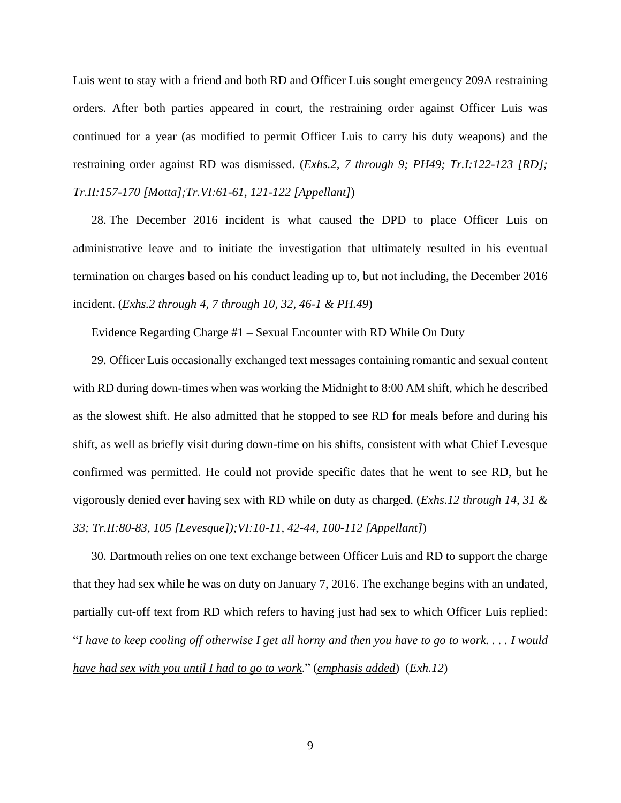Luis went to stay with a friend and both RD and Officer Luis sought emergency 209A restraining orders. After both parties appeared in court, the restraining order against Officer Luis was continued for a year (as modified to permit Officer Luis to carry his duty weapons) and the restraining order against RD was dismissed. (*Exhs.2, 7 through 9; PH49; Tr.I:122-123 [RD]; Tr.II:157-170 [Motta];Tr.VI:61-61, 121-122 [Appellant]*)

28. The December 2016 incident is what caused the DPD to place Officer Luis on administrative leave and to initiate the investigation that ultimately resulted in his eventual termination on charges based on his conduct leading up to, but not including, the December 2016 incident. (*Exhs.2 through 4, 7 through 10, 32, 46-1 & PH.49*)

# Evidence Regarding Charge #1 – Sexual Encounter with RD While On Duty

29. Officer Luis occasionally exchanged text messages containing romantic and sexual content with RD during down-times when was working the Midnight to 8:00 AM shift, which he described as the slowest shift. He also admitted that he stopped to see RD for meals before and during his shift, as well as briefly visit during down-time on his shifts, consistent with what Chief Levesque confirmed was permitted. He could not provide specific dates that he went to see RD, but he vigorously denied ever having sex with RD while on duty as charged. (*Exhs.12 through 14, 31 & 33; Tr.II:80-83, 105 [Levesque]);VI:10-11, 42-44, 100-112 [Appellant]*)

30. Dartmouth relies on one text exchange between Officer Luis and RD to support the charge that they had sex while he was on duty on January 7, 2016. The exchange begins with an undated, partially cut-off text from RD which refers to having just had sex to which Officer Luis replied: "I have to keep cooling off otherwise I get all horny and then you have to go to work.... I would *have had sex with you until I had to go to work*." (*emphasis added*) (*Exh.12*)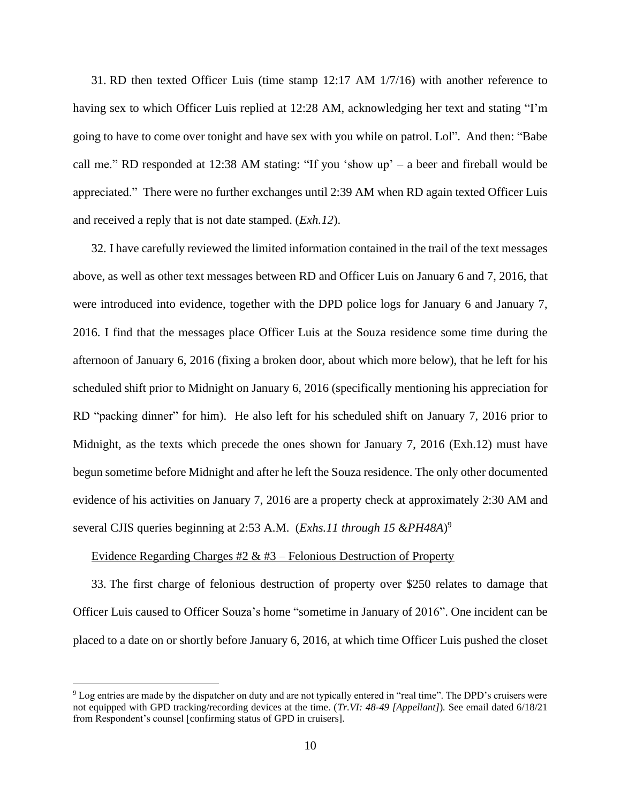31. RD then texted Officer Luis (time stamp 12:17 AM 1/7/16) with another reference to having sex to which Officer Luis replied at 12:28 AM, acknowledging her text and stating "I'm going to have to come over tonight and have sex with you while on patrol. Lol". And then: "Babe call me." RD responded at 12:38 AM stating: "If you 'show up' – a beer and fireball would be appreciated." There were no further exchanges until 2:39 AM when RD again texted Officer Luis and received a reply that is not date stamped. (*Exh.12*).

32. I have carefully reviewed the limited information contained in the trail of the text messages above, as well as other text messages between RD and Officer Luis on January 6 and 7, 2016, that were introduced into evidence, together with the DPD police logs for January 6 and January 7, 2016. I find that the messages place Officer Luis at the Souza residence some time during the afternoon of January 6, 2016 (fixing a broken door, about which more below), that he left for his scheduled shift prior to Midnight on January 6, 2016 (specifically mentioning his appreciation for RD "packing dinner" for him). He also left for his scheduled shift on January 7, 2016 prior to Midnight, as the texts which precede the ones shown for January 7, 2016 (Exh.12) must have begun sometime before Midnight and after he left the Souza residence. The only other documented evidence of his activities on January 7, 2016 are a property check at approximately 2:30 AM and several CJIS queries beginning at 2:53 A.M. (*Exhs.11 through 15 &PH48A*) 9

## Evidence Regarding Charges  $\#2 \& \#3$  – Felonious Destruction of Property

33. The first charge of felonious destruction of property over \$250 relates to damage that Officer Luis caused to Officer Souza's home "sometime in January of 2016". One incident can be placed to a date on or shortly before January 6, 2016, at which time Officer Luis pushed the closet

<sup>9</sup> Log entries are made by the dispatcher on duty and are not typically entered in "real time". The DPD's cruisers were not equipped with GPD tracking/recording devices at the time. (*Tr.VI: 48-49 [Appellant]*)*.* See email dated 6/18/21 from Respondent's counsel [confirming status of GPD in cruisers].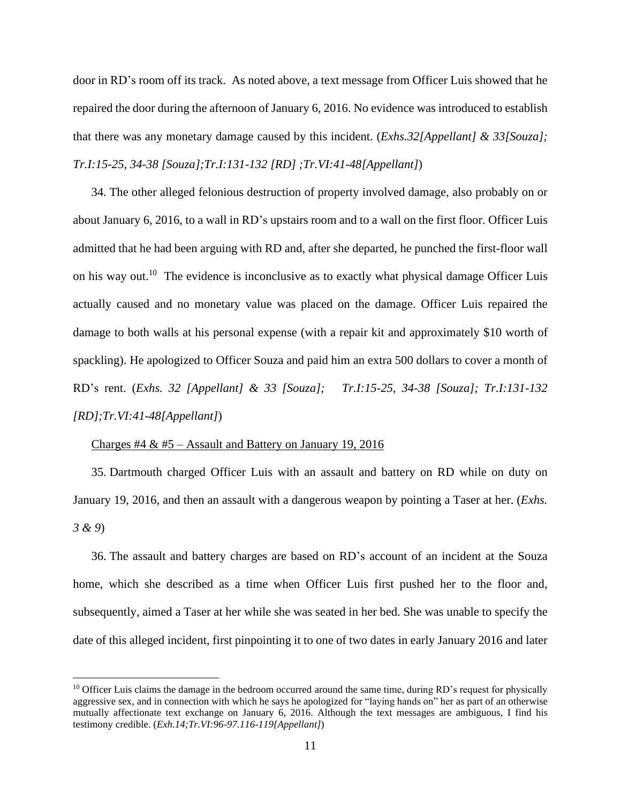door in RD's room off its track. As noted above, a text message from Officer Luis showed that he repaired the door during the afternoon of January 6, 2016. No evidence was introduced to establish that there was any monetary damage caused by this incident. (*Exhs.32[Appellant] & 33[Souza]; Tr.I:15-25, 34-38 [Souza];Tr.I:131-132 [RD] ;Tr.VI:41-48[Appellant]*)

34. The other alleged felonious destruction of property involved damage, also probably on or about January 6, 2016, to a wall in RD's upstairs room and to a wall on the first floor. Officer Luis admitted that he had been arguing with RD and, after she departed, he punched the first-floor wall on his way out.<sup>10</sup> The evidence is inconclusive as to exactly what physical damage Officer Luis actually caused and no monetary value was placed on the damage. Officer Luis repaired the damage to both walls at his personal expense (with a repair kit and approximately \$10 worth of spackling). He apologized to Officer Souza and paid him an extra 500 dollars to cover a month of RD's rent. (*Exhs. 32 [Appellant] & 33 [Souza]; Tr.I:15-25, 34-38 [Souza]; Tr.I:131-132 [RD];Tr.VI:41-48[Appellant]*)

#### Charges #4  $\&$  #5 – Assault and Battery on January 19, 2016

35. Dartmouth charged Officer Luis with an assault and battery on RD while on duty on January 19, 2016, and then an assault with a dangerous weapon by pointing a Taser at her. (*Exhs. 3 & 9*)

36. The assault and battery charges are based on RD's account of an incident at the Souza home, which she described as a time when Officer Luis first pushed her to the floor and, subsequently, aimed a Taser at her while she was seated in her bed. She was unable to specify the date of this alleged incident, first pinpointing it to one of two dates in early January 2016 and later

 $10$  Officer Luis claims the damage in the bedroom occurred around the same time, during RD's request for physically aggressive sex, and in connection with which he says he apologized for "laying hands on" her as part of an otherwise mutually affectionate text exchange on January 6, 2016. Although the text messages are ambiguous, I find his testimony credible. (*Exh.14;Tr.VI:96-97.116-119{Appellant]*)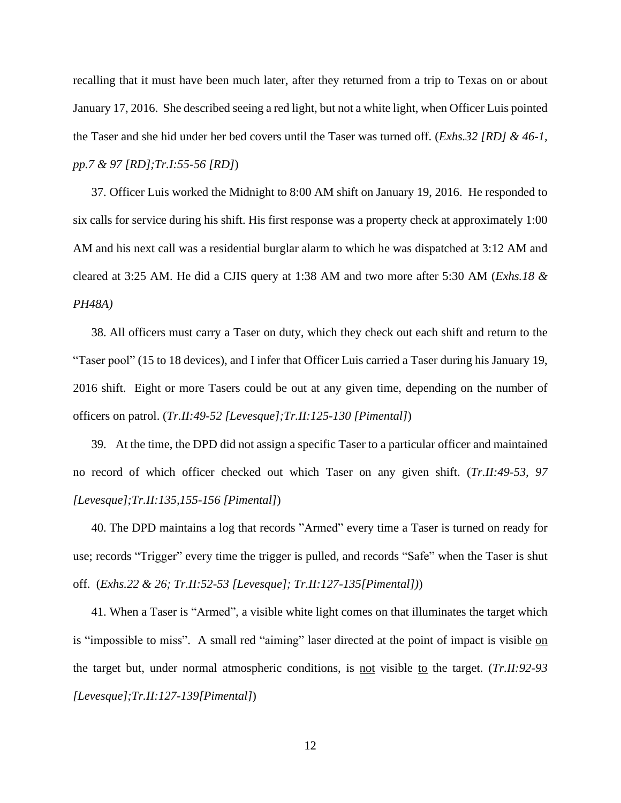recalling that it must have been much later, after they returned from a trip to Texas on or about January 17, 2016. She described seeing a red light, but not a white light, when Officer Luis pointed the Taser and she hid under her bed covers until the Taser was turned off. (*Exhs.32 [RD] & 46-1, pp.7 & 97 [RD];Tr.I:55-56 [RD]*)

37. Officer Luis worked the Midnight to 8:00 AM shift on January 19, 2016. He responded to six calls for service during his shift. His first response was a property check at approximately 1:00 AM and his next call was a residential burglar alarm to which he was dispatched at 3:12 AM and cleared at 3:25 AM. He did a CJIS query at 1:38 AM and two more after 5:30 AM (*Exhs.18 & PH48A)*

38. All officers must carry a Taser on duty, which they check out each shift and return to the "Taser pool" (15 to 18 devices), and I infer that Officer Luis carried a Taser during his January 19, 2016 shift. Eight or more Tasers could be out at any given time, depending on the number of officers on patrol. (*Tr.II:49-52 [Levesque];Tr.II:125-130 [Pimental]*)

39. At the time, the DPD did not assign a specific Taser to a particular officer and maintained no record of which officer checked out which Taser on any given shift. (*Tr.II:49-53, 97 [Levesque];Tr.II:135,155-156 [Pimental]*)

40. The DPD maintains a log that records "Armed" every time a Taser is turned on ready for use; records "Trigger" every time the trigger is pulled, and records "Safe" when the Taser is shut off. (*Exhs.22 & 26; Tr.II:52-53 [Levesque]; Tr.II:127-135[Pimental])*)

41. When a Taser is "Armed", a visible white light comes on that illuminates the target which is "impossible to miss". A small red "aiming" laser directed at the point of impact is visible on the target but, under normal atmospheric conditions, is not visible to the target. (*Tr.II:92-93 [Levesque];Tr.II:127-139[Pimental]*)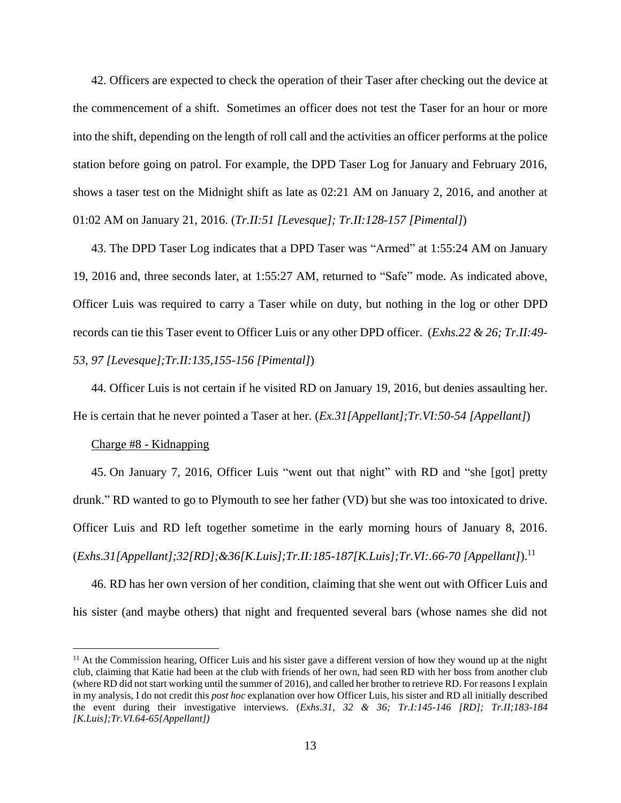42. Officers are expected to check the operation of their Taser after checking out the device at the commencement of a shift. Sometimes an officer does not test the Taser for an hour or more into the shift, depending on the length of roll call and the activities an officer performs at the police station before going on patrol. For example, the DPD Taser Log for January and February 2016, shows a taser test on the Midnight shift as late as 02:21 AM on January 2, 2016, and another at 01:02 AM on January 21, 2016. (*Tr.II:51 [Levesque]; Tr.II:128-157 [Pimental]*)

43. The DPD Taser Log indicates that a DPD Taser was "Armed" at 1:55:24 AM on January 19, 2016 and, three seconds later, at 1:55:27 AM, returned to "Safe" mode. As indicated above, Officer Luis was required to carry a Taser while on duty, but nothing in the log or other DPD records can tie this Taser event to Officer Luis or any other DPD officer. (*Exhs.22 & 26; Tr.II:49- 53, 97 [Levesque];Tr.II:135,155-156 [Pimental]*)

44. Officer Luis is not certain if he visited RD on January 19, 2016, but denies assaulting her.

He is certain that he never pointed a Taser at her. (*Ex.31[Appellant];Tr.VI:50-54 [Appellant]*)

#### Charge #8 - Kidnapping

45. On January 7, 2016, Officer Luis "went out that night" with RD and "she [got] pretty drunk." RD wanted to go to Plymouth to see her father (VD) but she was too intoxicated to drive. Officer Luis and RD left together sometime in the early morning hours of January 8, 2016. (*Exhs.31[Appellant];32[RD];&36[K.Luis];Tr.II:185-187[K.Luis];Tr.VI:.66-70 [Appellant]*). 11

46. RD has her own version of her condition, claiming that she went out with Officer Luis and his sister (and maybe others) that night and frequented several bars (whose names she did not

<sup>&</sup>lt;sup>11</sup> At the Commission hearing, Officer Luis and his sister gave a different version of how they wound up at the night club, claiming that Katie had been at the club with friends of her own, had seen RD with her boss from another club (where RD did not start working until the summer of 2016), and called her brother to retrieve RD. For reasons I explain in my analysis, I do not credit this *post hoc* explanation over how Officer Luis, his sister and RD all initially described the event during their investigative interviews. (*Exhs.31, 32 & 36; Tr.I:145-146 [RD]; Tr.II;183-184 [K.Luis];Tr.VI.64-65{Appellant])*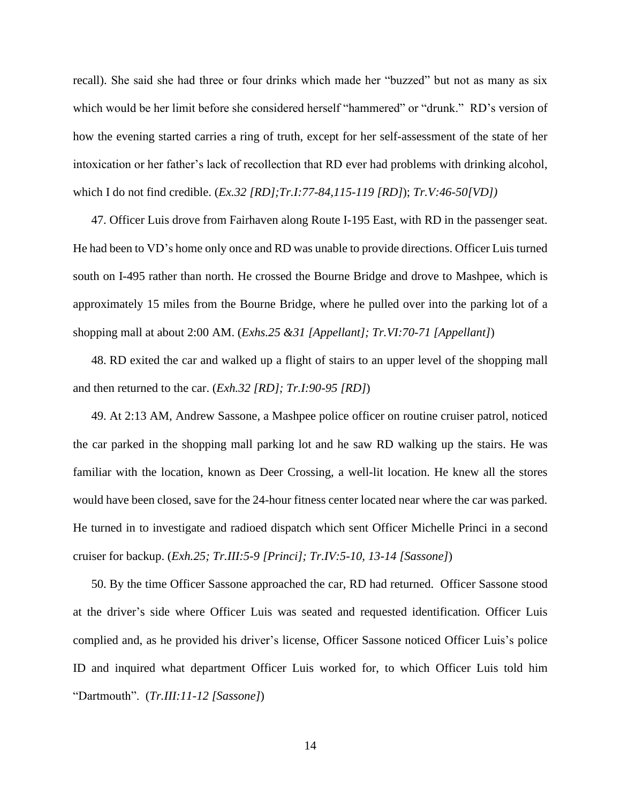recall). She said she had three or four drinks which made her "buzzed" but not as many as six which would be her limit before she considered herself "hammered" or "drunk." RD's version of how the evening started carries a ring of truth, except for her self-assessment of the state of her intoxication or her father's lack of recollection that RD ever had problems with drinking alcohol, which I do not find credible. (*Ex.32 [RD];Tr.I:77-84,115-119 [RD]*); *Tr.V:46-50[VD])*

47. Officer Luis drove from Fairhaven along Route I-195 East, with RD in the passenger seat. He had been to VD's home only once and RD was unable to provide directions. Officer Luis turned south on I-495 rather than north. He crossed the Bourne Bridge and drove to Mashpee, which is approximately 15 miles from the Bourne Bridge, where he pulled over into the parking lot of a shopping mall at about 2:00 AM. (*Exhs.25 &31 [Appellant]; Tr.VI:70-71 [Appellant]*)

48. RD exited the car and walked up a flight of stairs to an upper level of the shopping mall and then returned to the car. (*Exh.32 [RD]; Tr.I:90-95 [RD]*)

49. At 2:13 AM, Andrew Sassone, a Mashpee police officer on routine cruiser patrol, noticed the car parked in the shopping mall parking lot and he saw RD walking up the stairs. He was familiar with the location, known as Deer Crossing, a well-lit location. He knew all the stores would have been closed, save for the 24-hour fitness center located near where the car was parked. He turned in to investigate and radioed dispatch which sent Officer Michelle Princi in a second cruiser for backup. (*Exh.25; Tr.III:5-9 [Princi]; Tr.IV:5-10, 13-14 [Sassone]*)

50. By the time Officer Sassone approached the car, RD had returned. Officer Sassone stood at the driver's side where Officer Luis was seated and requested identification. Officer Luis complied and, as he provided his driver's license, Officer Sassone noticed Officer Luis's police ID and inquired what department Officer Luis worked for, to which Officer Luis told him "Dartmouth". (*Tr.III:11-12 [Sassone]*)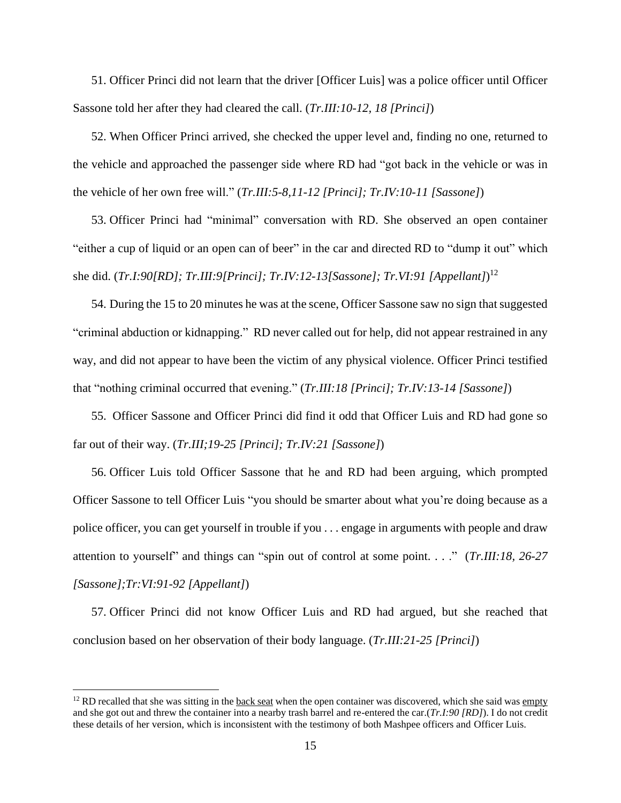51. Officer Princi did not learn that the driver [Officer Luis] was a police officer until Officer Sassone told her after they had cleared the call. (*Tr.III:10-12, 18 [Princi]*)

52. When Officer Princi arrived, she checked the upper level and, finding no one, returned to the vehicle and approached the passenger side where RD had "got back in the vehicle or was in the vehicle of her own free will." (*Tr.III:5-8,11-12 [Princi]; Tr.IV:10-11 [Sassone]*)

53. Officer Princi had "minimal" conversation with RD. She observed an open container "either a cup of liquid or an open can of beer" in the car and directed RD to "dump it out" which she did. (*Tr.I:90[RD]; Tr.III:9[Princi]; Tr.IV:12-13[Sassone]; Tr.VI:91 [Appellant]*) 12

54. During the 15 to 20 minutes he was at the scene, Officer Sassone saw no sign that suggested "criminal abduction or kidnapping." RD never called out for help, did not appear restrained in any way, and did not appear to have been the victim of any physical violence. Officer Princi testified that "nothing criminal occurred that evening." (*Tr.III:18 [Princi]; Tr.IV:13-14 [Sassone]*)

55. Officer Sassone and Officer Princi did find it odd that Officer Luis and RD had gone so far out of their way. (*Tr.III;19-25 [Princi]; Tr.IV:21 [Sassone]*)

56. Officer Luis told Officer Sassone that he and RD had been arguing, which prompted Officer Sassone to tell Officer Luis "you should be smarter about what you're doing because as a police officer, you can get yourself in trouble if you . . . engage in arguments with people and draw attention to yourself" and things can "spin out of control at some point. . . ." (*Tr.III:18, 26-27 [Sassone];Tr:VI:91-92 [Appellant]*)

57. Officer Princi did not know Officer Luis and RD had argued, but she reached that conclusion based on her observation of their body language. (*Tr.III:21-25 [Princi]*)

 $12$  RD recalled that she was sitting in the back seat when the open container was discovered, which she said was empty and she got out and threw the container into a nearby trash barrel and re-entered the car.(*Tr.I:90 [RD]*). I do not credit these details of her version, which is inconsistent with the testimony of both Mashpee officers and Officer Luis.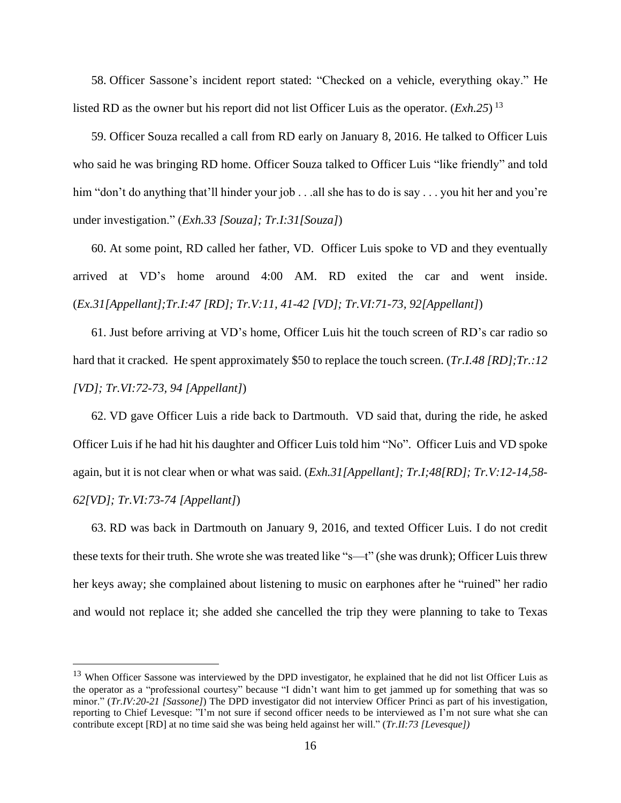58. Officer Sassone's incident report stated: "Checked on a vehicle, everything okay." He listed RD as the owner but his report did not list Officer Luis as the operator. (*Exh.25*) 13

59. Officer Souza recalled a call from RD early on January 8, 2016. He talked to Officer Luis who said he was bringing RD home. Officer Souza talked to Officer Luis "like friendly" and told him "don't do anything that'll hinder your job . . .all she has to do is say . . . you hit her and you're under investigation." (*Exh.33 [Souza]; Tr.I:31[Souza]*)

60. At some point, RD called her father, VD. Officer Luis spoke to VD and they eventually arrived at VD's home around 4:00 AM. RD exited the car and went inside. (*Ex.31[Appellant];Tr.I:47 [RD]; Tr.V:11, 41-42 [VD]; Tr.VI:71-73, 92[Appellant]*)

61. Just before arriving at VD's home, Officer Luis hit the touch screen of RD's car radio so hard that it cracked. He spent approximately \$50 to replace the touch screen. (*Tr.I.48 [RD];Tr.:12 [VD]; Tr.VI:72-73, 94 [Appellant]*)

62. VD gave Officer Luis a ride back to Dartmouth. VD said that, during the ride, he asked Officer Luis if he had hit his daughter and Officer Luis told him "No". Officer Luis and VD spoke again, but it is not clear when or what was said. (*Exh.31[Appellant]; Tr.I;48[RD]; Tr.V:12-14,58- 62[VD]; Tr.VI:73-74 [Appellant]*)

63. RD was back in Dartmouth on January 9, 2016, and texted Officer Luis. I do not credit these texts for their truth. She wrote she was treated like "s—t" (she was drunk); Officer Luis threw her keys away; she complained about listening to music on earphones after he "ruined" her radio and would not replace it; she added she cancelled the trip they were planning to take to Texas

<sup>&</sup>lt;sup>13</sup> When Officer Sassone was interviewed by the DPD investigator, he explained that he did not list Officer Luis as the operator as a "professional courtesy" because "I didn't want him to get jammed up for something that was so minor." (*Tr.IV:20-21 [Sassone]*) The DPD investigator did not interview Officer Princi as part of his investigation, reporting to Chief Levesque: "I'm not sure if second officer needs to be interviewed as I'm not sure what she can contribute except [RD] at no time said she was being held against her will." (*Tr.II:73 [Levesque])*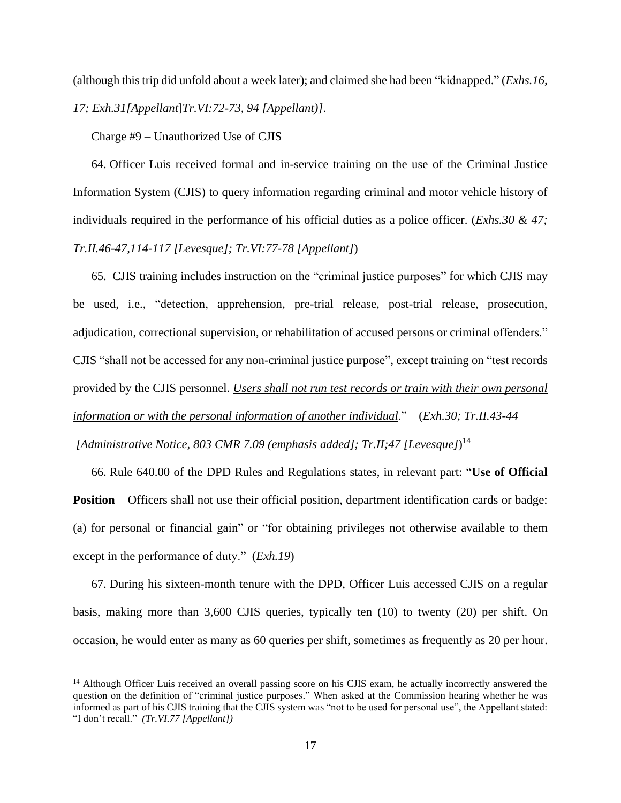(although this trip did unfold about a week later); and claimed she had been "kidnapped." (*Exhs.16, 17; Exh.31[Appellant*]*Tr.VI:72-73, 94 [Appellant)]*.

## Charge #9 – Unauthorized Use of CJIS

64. Officer Luis received formal and in-service training on the use of the Criminal Justice Information System (CJIS) to query information regarding criminal and motor vehicle history of individuals required in the performance of his official duties as a police officer. (*Exhs.30 & 47; Tr.II.46-47,114-117 [Levesque]; Tr.VI:77-78 [Appellant]*)

65. CJIS training includes instruction on the "criminal justice purposes" for which CJIS may be used, i.e., "detection, apprehension, pre-trial release, post-trial release, prosecution, adjudication, correctional supervision, or rehabilitation of accused persons or criminal offenders." CJIS "shall not be accessed for any non-criminal justice purpose", except training on "test records provided by the CJIS personnel. *Users shall not run test records or train with their own personal information or with the personal information of another individual*." (*Exh.30; Tr.II.43-44 [Administrative Notice, 803 CMR 7.09 (emphasis added]; Tr.II;47 [Levesque]*) 14

66. Rule 640.00 of the DPD Rules and Regulations states, in relevant part: "**Use of Official Position** – Officers shall not use their official position, department identification cards or badge: (a) for personal or financial gain" or "for obtaining privileges not otherwise available to them except in the performance of duty." (*Exh.19*)

67. During his sixteen-month tenure with the DPD, Officer Luis accessed CJIS on a regular basis, making more than 3,600 CJIS queries, typically ten (10) to twenty (20) per shift. On occasion, he would enter as many as 60 queries per shift, sometimes as frequently as 20 per hour.

<sup>&</sup>lt;sup>14</sup> Although Officer Luis received an overall passing score on his CJIS exam, he actually incorrectly answered the question on the definition of "criminal justice purposes." When asked at the Commission hearing whether he was informed as part of his CJIS training that the CJIS system was "not to be used for personal use", the Appellant stated: "I don't recall." *(Tr.VI.77 [Appellant])*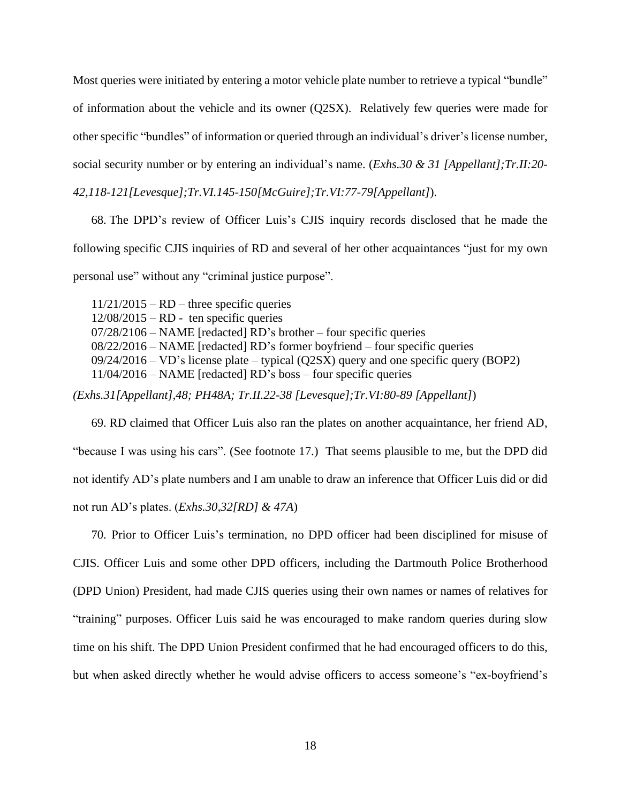Most queries were initiated by entering a motor vehicle plate number to retrieve a typical "bundle" of information about the vehicle and its owner (Q2SX). Relatively few queries were made for other specific "bundles" of information or queried through an individual's driver's license number, social security number or by entering an individual's name. (*Exhs.30 & 31 [Appellant];Tr.II:20-*

*42,118-121[Levesque];Tr.VI.145-150[McGuire];Tr.VI:77-79[Appellant]*).

68. The DPD's review of Officer Luis's CJIS inquiry records disclosed that he made the following specific CJIS inquiries of RD and several of her other acquaintances "just for my own personal use" without any "criminal justice purpose".

11/21/2015 – RD – three specific queries  $12/08/2015 - RD$  - ten specific queries 07/28/2106 – NAME [redacted] RD's brother – four specific queries 08/22/2016 – NAME [redacted] RD's former boyfriend – four specific queries 09/24/2016 – VD's license plate – typical (Q2SX) query and one specific query (BOP2) 11/04/2016 – NAME [redacted] RD's boss – four specific queries

*(Exhs.31[Appellant],48; PH48A; Tr.II.22-38 [Levesque];Tr.VI:80-89 [Appellant]*)

69. RD claimed that Officer Luis also ran the plates on another acquaintance, her friend AD, "because I was using his cars". (See footnote 17.) That seems plausible to me, but the DPD did not identify AD's plate numbers and I am unable to draw an inference that Officer Luis did or did not run AD's plates. (*Exhs.30,32[RD] & 47A*)

70. Prior to Officer Luis's termination, no DPD officer had been disciplined for misuse of CJIS. Officer Luis and some other DPD officers, including the Dartmouth Police Brotherhood (DPD Union) President, had made CJIS queries using their own names or names of relatives for "training" purposes. Officer Luis said he was encouraged to make random queries during slow time on his shift. The DPD Union President confirmed that he had encouraged officers to do this, but when asked directly whether he would advise officers to access someone's "ex-boyfriend's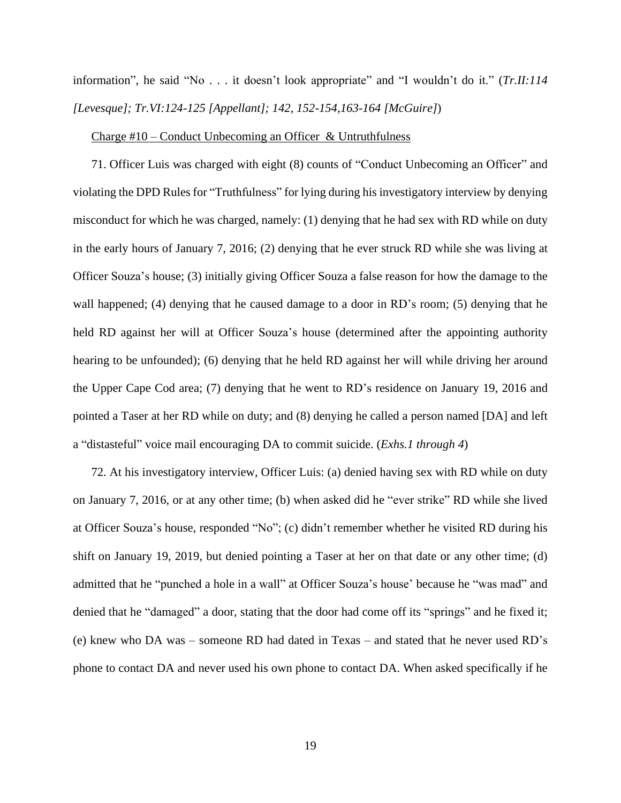information", he said "No . . . it doesn't look appropriate" and "I wouldn't do it." (*Tr.II:114 [Levesque]; Tr.VI:124-125 [Appellant]; 142, 152-154,163-164 [McGuire]*)

#### Charge  $#10$  – Conduct Unbecoming an Officer & Untruthfulness

71. Officer Luis was charged with eight (8) counts of "Conduct Unbecoming an Officer" and violating the DPD Rules for "Truthfulness" for lying during his investigatory interview by denying misconduct for which he was charged, namely: (1) denying that he had sex with RD while on duty in the early hours of January 7, 2016; (2) denying that he ever struck RD while she was living at Officer Souza's house; (3) initially giving Officer Souza a false reason for how the damage to the wall happened; (4) denying that he caused damage to a door in RD's room; (5) denying that he held RD against her will at Officer Souza's house (determined after the appointing authority hearing to be unfounded); (6) denying that he held RD against her will while driving her around the Upper Cape Cod area; (7) denying that he went to RD's residence on January 19, 2016 and pointed a Taser at her RD while on duty; and (8) denying he called a person named [DA] and left a "distasteful" voice mail encouraging DA to commit suicide. (*Exhs.1 through 4*)

72. At his investigatory interview, Officer Luis: (a) denied having sex with RD while on duty on January 7, 2016, or at any other time; (b) when asked did he "ever strike" RD while she lived at Officer Souza's house, responded "No"; (c) didn't remember whether he visited RD during his shift on January 19, 2019, but denied pointing a Taser at her on that date or any other time; (d) admitted that he "punched a hole in a wall" at Officer Souza's house' because he "was mad" and denied that he "damaged" a door, stating that the door had come off its "springs" and he fixed it; (e) knew who DA was – someone RD had dated in Texas – and stated that he never used RD's phone to contact DA and never used his own phone to contact DA. When asked specifically if he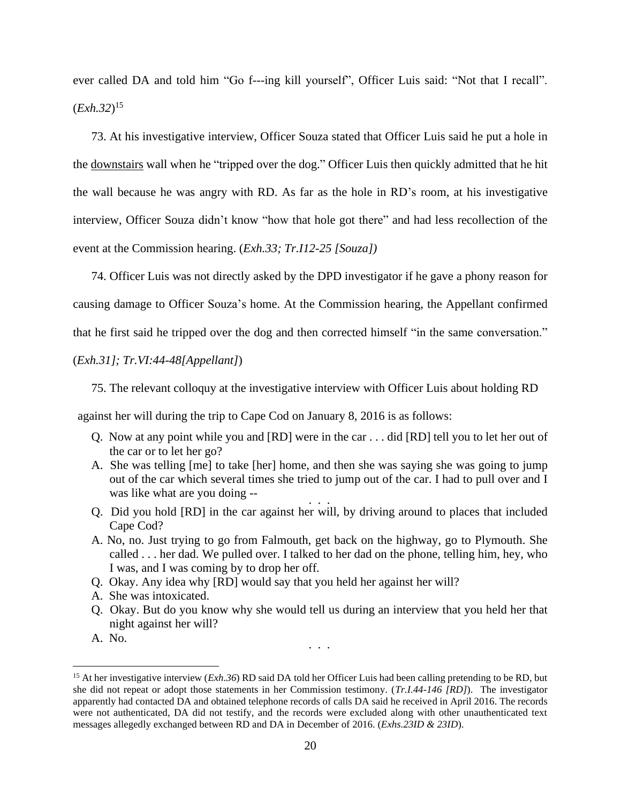ever called DA and told him "Go f---ing kill yourself", Officer Luis said: "Not that I recall". (*Exh.32*) 15

73. At his investigative interview, Officer Souza stated that Officer Luis said he put a hole in the downstairs wall when he "tripped over the dog." Officer Luis then quickly admitted that he hit the wall because he was angry with RD. As far as the hole in RD's room, at his investigative interview, Officer Souza didn't know "how that hole got there" and had less recollection of the event at the Commission hearing. (*Exh.33; Tr.I12-25 [Souza])*

74. Officer Luis was not directly asked by the DPD investigator if he gave a phony reason for causing damage to Officer Souza's home. At the Commission hearing, the Appellant confirmed

that he first said he tripped over the dog and then corrected himself "in the same conversation."

# (*Exh.31]; Tr.VI:44-48[Appellant]*)

75. The relevant colloquy at the investigative interview with Officer Luis about holding RD

against her will during the trip to Cape Cod on January 8, 2016 is as follows:

- Q. Now at any point while you and [RD] were in the car . . . did [RD] tell you to let her out of the car or to let her go?
- A. She was telling [me] to take [her] home, and then she was saying she was going to jump out of the car which several times she tried to jump out of the car. I had to pull over and I was like what are you doing -- . . .
- Q. Did you hold [RD] in the car against her will, by driving around to places that included Cape Cod?
- A. No, no. Just trying to go from Falmouth, get back on the highway, go to Plymouth. She called . . . her dad. We pulled over. I talked to her dad on the phone, telling him, hey, who I was, and I was coming by to drop her off.
- Q. Okay. Any idea why [RD] would say that you held her against her will?
- A. She was intoxicated.
- Q. Okay. But do you know why she would tell us during an interview that you held her that night against her will?

. . .

A. No.

<sup>15</sup> At her investigative interview (*Exh.36*) RD said DA told her Officer Luis had been calling pretending to be RD, but she did not repeat or adopt those statements in her Commission testimony. (*Tr.I.44-146 [RD]*). The investigator apparently had contacted DA and obtained telephone records of calls DA said he received in April 2016. The records were not authenticated, DA did not testify, and the records were excluded along with other unauthenticated text messages allegedly exchanged between RD and DA in December of 2016. (*Exhs.23ID & 23ID*).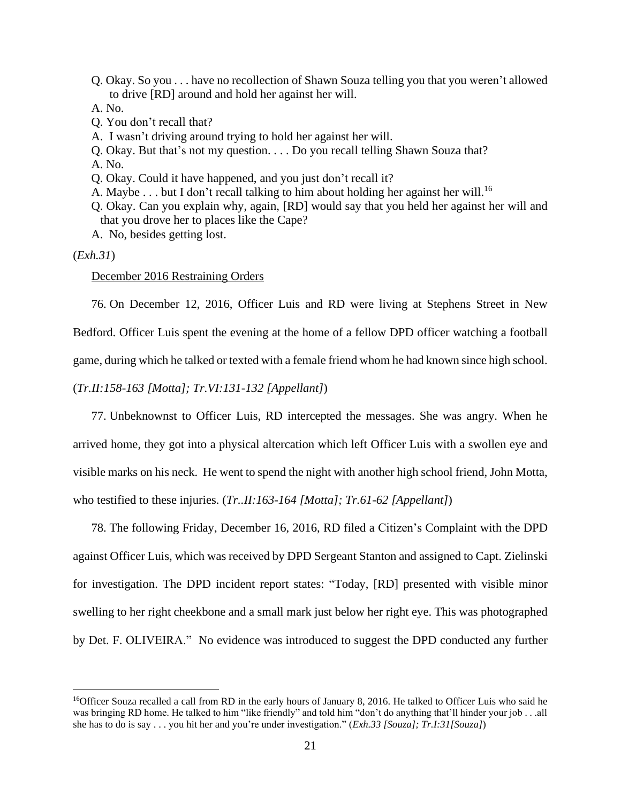Q. Okay. So you . . . have no recollection of Shawn Souza telling you that you weren't allowed to drive [RD] around and hold her against her will.

A. No.

- Q. You don't recall that?
- A. I wasn't driving around trying to hold her against her will.
- Q. Okay. But that's not my question. . . . Do you recall telling Shawn Souza that?
- A. No.
- Q. Okay. Could it have happened, and you just don't recall it?
- A. Maybe  $\dots$  but I don't recall talking to him about holding her against her will.<sup>16</sup>
- Q. Okay. Can you explain why, again, [RD] would say that you held her against her will and that you drove her to places like the Cape?
- A. No, besides getting lost.

#### (*Exh.31*)

## December 2016 Restraining Orders

76. On December 12, 2016, Officer Luis and RD were living at Stephens Street in New Bedford. Officer Luis spent the evening at the home of a fellow DPD officer watching a football game, during which he talked or texted with a female friend whom he had known since high school.

(*Tr.II:158-163 [Motta]; Tr.VI:131-132 [Appellant]*)

77. Unbeknownst to Officer Luis, RD intercepted the messages. She was angry. When he arrived home, they got into a physical altercation which left Officer Luis with a swollen eye and visible marks on his neck. He went to spend the night with another high school friend, John Motta, who testified to these injuries. (*Tr..II:163-164 [Motta]; Tr.61-62 [Appellant]*)

78. The following Friday, December 16, 2016, RD filed a Citizen's Complaint with the DPD against Officer Luis, which was received by DPD Sergeant Stanton and assigned to Capt. Zielinski for investigation. The DPD incident report states: "Today, [RD] presented with visible minor swelling to her right cheekbone and a small mark just below her right eye. This was photographed by Det. F. OLIVEIRA." No evidence was introduced to suggest the DPD conducted any further

<sup>&</sup>lt;sup>16</sup>Officer Souza recalled a call from RD in the early hours of January 8, 2016. He talked to Officer Luis who said he was bringing RD home. He talked to him "like friendly" and told him "don't do anything that'll hinder your job . . .all she has to do is say . . . you hit her and you're under investigation." (*Exh.33 [Souza]; Tr.I:31[Souza]*)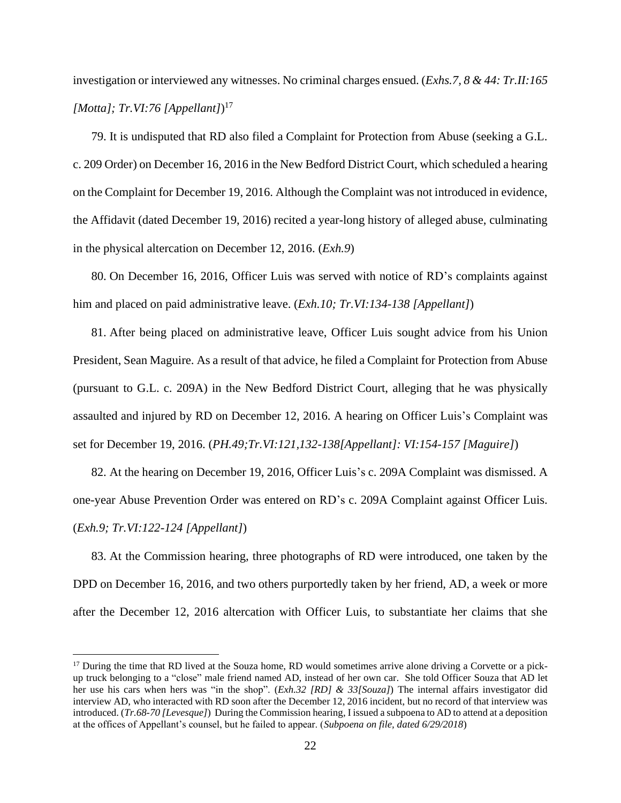investigation or interviewed any witnesses. No criminal charges ensued. (*Exhs.7, 8 & 44: Tr.II:165 [Motta]; Tr.VI:76 [Appellant]*) 17

79. It is undisputed that RD also filed a Complaint for Protection from Abuse (seeking a G.L. c. 209 Order) on December 16, 2016 in the New Bedford District Court, which scheduled a hearing on the Complaint for December 19, 2016. Although the Complaint was not introduced in evidence, the Affidavit (dated December 19, 2016) recited a year-long history of alleged abuse, culminating in the physical altercation on December 12, 2016. (*Exh.9*)

80. On December 16, 2016, Officer Luis was served with notice of RD's complaints against him and placed on paid administrative leave. (*Exh.10; Tr.VI:134-138 [Appellant]*)

81. After being placed on administrative leave, Officer Luis sought advice from his Union President, Sean Maguire. As a result of that advice, he filed a Complaint for Protection from Abuse (pursuant to G.L. c. 209A) in the New Bedford District Court, alleging that he was physically assaulted and injured by RD on December 12, 2016. A hearing on Officer Luis's Complaint was set for December 19, 2016. (*PH.49;Tr.VI:121,132-138[Appellant]: VI:154-157 [Maguire]*)

82. At the hearing on December 19, 2016, Officer Luis's c. 209A Complaint was dismissed. A one-year Abuse Prevention Order was entered on RD's c. 209A Complaint against Officer Luis. (*Exh.9; Tr.VI:122-124 [Appellant]*)

83. At the Commission hearing, three photographs of RD were introduced, one taken by the DPD on December 16, 2016, and two others purportedly taken by her friend, AD, a week or more after the December 12, 2016 altercation with Officer Luis, to substantiate her claims that she

 $17$  During the time that RD lived at the Souza home, RD would sometimes arrive alone driving a Corvette or a pickup truck belonging to a "close" male friend named AD, instead of her own car. She told Officer Souza that AD let her use his cars when hers was "in the shop". (*Exh.32 [RD] & 33[Souza]*) The internal affairs investigator did interview AD, who interacted with RD soon after the December 12, 2016 incident, but no record of that interview was introduced. (*Tr.68-70 [Levesque]*) During the Commission hearing, I issued a subpoena to AD to attend at a deposition at the offices of Appellant's counsel, but he failed to appear. (*Subpoena on file, dated 6/29/2018*)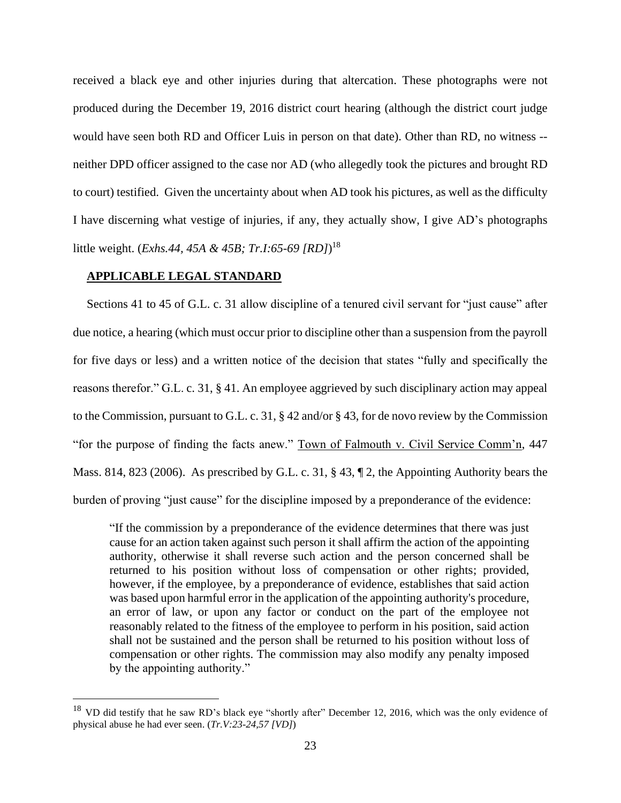received a black eye and other injuries during that altercation. These photographs were not produced during the December 19, 2016 district court hearing (although the district court judge would have seen both RD and Officer Luis in person on that date). Other than RD, no witness - neither DPD officer assigned to the case nor AD (who allegedly took the pictures and brought RD to court) testified. Given the uncertainty about when AD took his pictures, as well as the difficulty I have discerning what vestige of injuries, if any, they actually show, I give AD's photographs little weight. (*Exhs.44, 45A & 45B; Tr.I:65-69 [RD]*) 18

## **APPLICABLE LEGAL STANDARD**

Sections 41 to 45 of G.L. c. 31 allow discipline of a tenured civil servant for "just cause" after due notice, a hearing (which must occur prior to discipline other than a suspension from the payroll for five days or less) and a written notice of the decision that states "fully and specifically the reasons therefor." G.L. c. 31, § 41. An employee aggrieved by such disciplinary action may appeal to the Commission, pursuant to G.L. c. 31, § 42 and/or § 43, for de novo review by the Commission "for the purpose of finding the facts anew." Town of Falmouth v. Civil Service Comm'n, 447 Mass. 814, 823 (2006). As prescribed by G.L. c. 31, § 43, ¶ 2, the Appointing Authority bears the burden of proving "just cause" for the discipline imposed by a preponderance of the evidence:

"If the commission by a preponderance of the evidence determines that there was just cause for an action taken against such person it shall affirm the action of the appointing authority, otherwise it shall reverse such action and the person concerned shall be returned to his position without loss of compensation or other rights; provided, however, if the employee, by a preponderance of evidence, establishes that said action was based upon harmful error in the application of the appointing authority's procedure, an error of law, or upon any factor or conduct on the part of the employee not reasonably related to the fitness of the employee to perform in his position, said action shall not be sustained and the person shall be returned to his position without loss of compensation or other rights. The commission may also modify any penalty imposed by the appointing authority."

<sup>&</sup>lt;sup>18</sup> VD did testify that he saw RD's black eye "shortly after" December 12, 2016, which was the only evidence of physical abuse he had ever seen. (*Tr.V:23-24,57 [VD]*)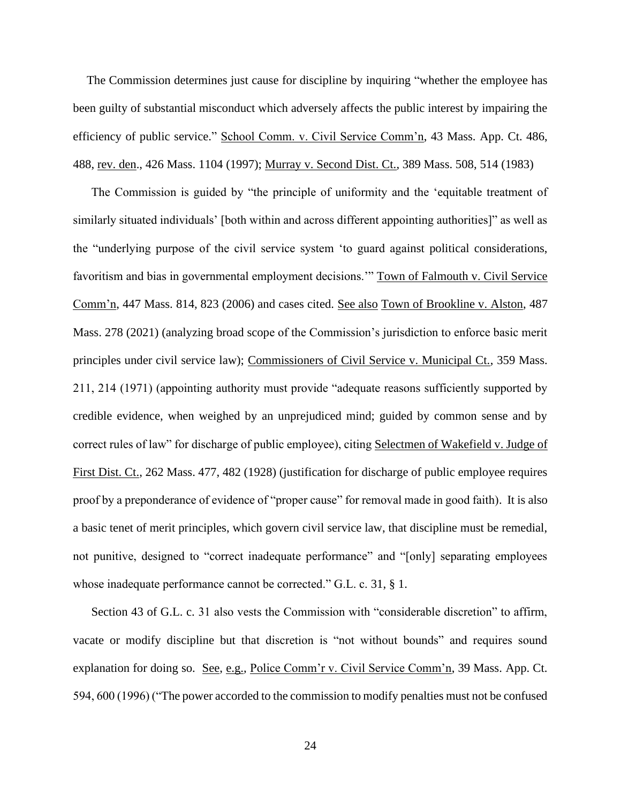The Commission determines just cause for discipline by inquiring "whether the employee has been guilty of substantial misconduct which adversely affects the public interest by impairing the efficiency of public service." School Comm. v. Civil Service Comm'n, 43 Mass. App. Ct. 486, 488, rev. den., 426 Mass. 1104 (1997); Murray v. Second Dist. Ct., 389 Mass. 508, 514 (1983)

The Commission is guided by "the principle of uniformity and the 'equitable treatment of similarly situated individuals' [both within and across different appointing authorities]" as well as the "underlying purpose of the civil service system 'to guard against political considerations, favoritism and bias in governmental employment decisions.'" Town of Falmouth v. Civil Service Comm'n, 447 Mass. 814, 823 (2006) and cases cited. See also Town of Brookline v. Alston, 487 Mass. 278 (2021) (analyzing broad scope of the Commission's jurisdiction to enforce basic merit principles under civil service law); Commissioners of Civil Service v. Municipal Ct., 359 Mass. 211, 214 (1971) (appointing authority must provide "adequate reasons sufficiently supported by credible evidence, when weighed by an unprejudiced mind; guided by common sense and by correct rules of law" for discharge of public employee), citing Selectmen of Wakefield v. Judge of First Dist. Ct., 262 Mass. 477, 482 (1928) (justification for discharge of public employee requires proof by a preponderance of evidence of "proper cause" for removal made in good faith). It is also a basic tenet of merit principles, which govern civil service law, that discipline must be remedial, not punitive, designed to "correct inadequate performance" and "[only] separating employees whose inadequate performance cannot be corrected." G.L. c. 31, § 1.

Section 43 of G.L. c. 31 also vests the Commission with "considerable discretion" to affirm, vacate or modify discipline but that discretion is "not without bounds" and requires sound explanation for doing so. See, e.g., Police Comm'r v. Civil Service Comm'n, 39 Mass. App. Ct. 594, 600 (1996) ("The power accorded to the commission to modify penalties must not be confused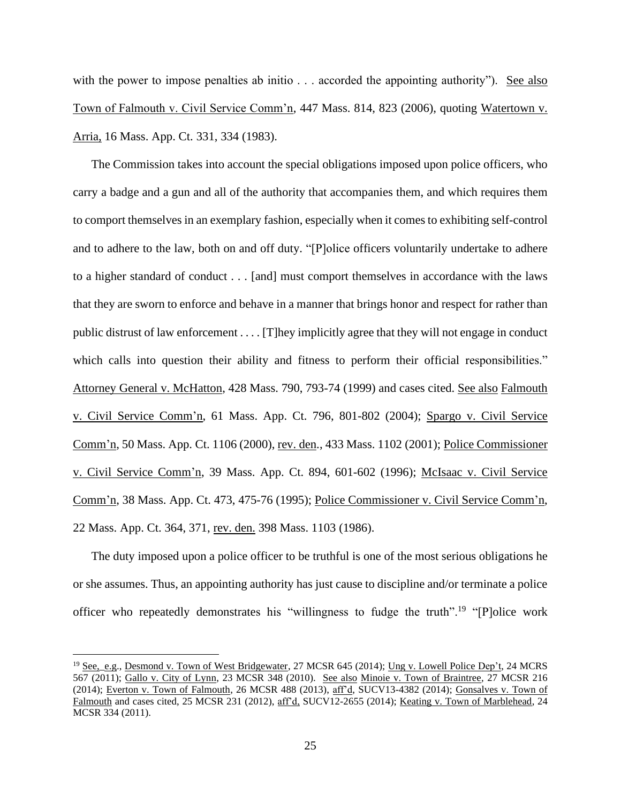with the power to impose penalties ab initio . . . accorded the appointing authority"). See also Town of Falmouth v. Civil Service Comm'n, 447 Mass. 814, 823 (2006), quoting Watertown v. Arria, 16 Mass. App. Ct. 331, 334 (1983).

The Commission takes into account the special obligations imposed upon police officers, who carry a badge and a gun and all of the authority that accompanies them, and which requires them to comport themselves in an exemplary fashion, especially when it comes to exhibiting self-control and to adhere to the law, both on and off duty. "[P]olice officers voluntarily undertake to adhere to a higher standard of conduct . . . [and] must comport themselves in accordance with the laws that they are sworn to enforce and behave in a manner that brings honor and respect for rather than public distrust of law enforcement . . . . [T]hey implicitly agree that they will not engage in conduct which calls into question their ability and fitness to perform their official responsibilities." Attorney General v. McHatton, 428 Mass. 790, 793-74 (1999) and cases cited. See also Falmouth v. Civil Service Comm'n, 61 Mass. App. Ct. 796, 801-802 (2004); Spargo v. Civil Service Comm'n, 50 Mass. App. Ct. 1106 (2000), rev. den., 433 Mass. 1102 (2001); Police Commissioner v. Civil Service Comm'n, 39 Mass. App. Ct. 894, 601-602 (1996); McIsaac v. Civil Service Comm'n, 38 Mass. App. Ct. 473, 475-76 (1995); Police Commissioner v. Civil Service Comm'n, 22 Mass. App. Ct. 364, 371, rev. den. 398 Mass. 1103 (1986).

The duty imposed upon a police officer to be truthful is one of the most serious obligations he or she assumes. Thus, an appointing authority has just cause to discipline and/or terminate a police officer who repeatedly demonstrates his "willingness to fudge the truth".<sup>19</sup> "[P]olice work

<sup>&</sup>lt;sup>19</sup> See, e.g., Desmond v. Town of West Bridgewater, 27 MCSR 645 (2014); Ung v. Lowell Police Dep't, 24 MCRS 567 (2011); Gallo v. City of Lynn, 23 MCSR 348 (2010). See also Minoie v. Town of Braintree, 27 MCSR 216 (2014); Everton v. Town of Falmouth, 26 MCSR 488 (2013), aff'd, SUCV13-4382 (2014); Gonsalves v. Town of Falmouth and cases cited, 25 MCSR 231 (2012), aff'd, SUCV12-2655 (2014); Keating v. Town of Marblehead, 24 MCSR 334 (2011).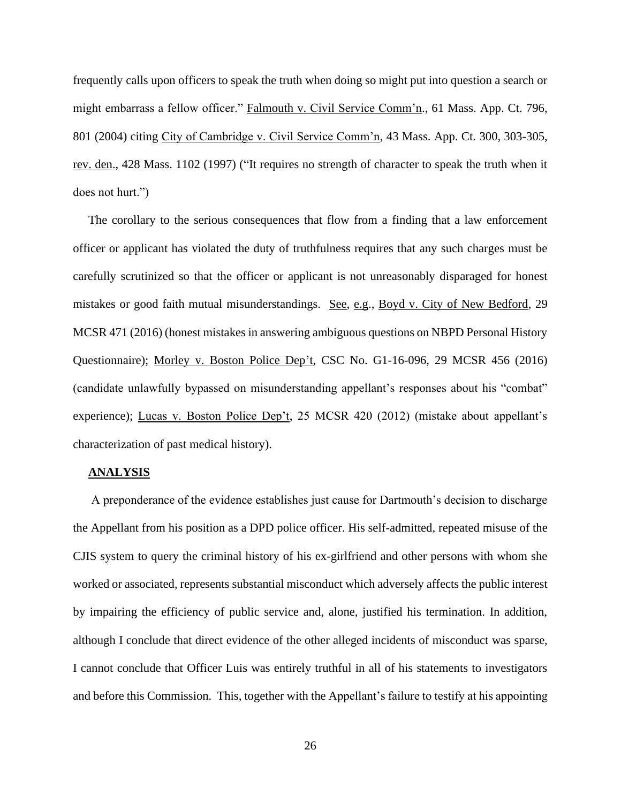frequently calls upon officers to speak the truth when doing so might put into question a search or might embarrass a fellow officer." Falmouth v. Civil Service Comm'n., 61 Mass. App. Ct. 796, 801 (2004) citing City of Cambridge v. Civil Service Comm'n, 43 Mass. App. Ct. 300, 303-305, rev. den., 428 Mass. 1102 (1997) ("It requires no strength of character to speak the truth when it does not hurt.")

The corollary to the serious consequences that flow from a finding that a law enforcement officer or applicant has violated the duty of truthfulness requires that any such charges must be carefully scrutinized so that the officer or applicant is not unreasonably disparaged for honest mistakes or good faith mutual misunderstandings. See, e.g., Boyd v. City of New Bedford, 29 MCSR 471 (2016) (honest mistakes in answering ambiguous questions on NBPD Personal History Questionnaire); Morley v. Boston Police Dep't, CSC No. G1-16-096, 29 MCSR 456 (2016) (candidate unlawfully bypassed on misunderstanding appellant's responses about his "combat" experience); Lucas v. Boston Police Dep't, 25 MCSR 420 (2012) (mistake about appellant's characterization of past medical history).

### **ANALYSIS**

A preponderance of the evidence establishes just cause for Dartmouth's decision to discharge the Appellant from his position as a DPD police officer. His self-admitted, repeated misuse of the CJIS system to query the criminal history of his ex-girlfriend and other persons with whom she worked or associated, represents substantial misconduct which adversely affects the public interest by impairing the efficiency of public service and, alone, justified his termination. In addition, although I conclude that direct evidence of the other alleged incidents of misconduct was sparse, I cannot conclude that Officer Luis was entirely truthful in all of his statements to investigators and before this Commission. This, together with the Appellant's failure to testify at his appointing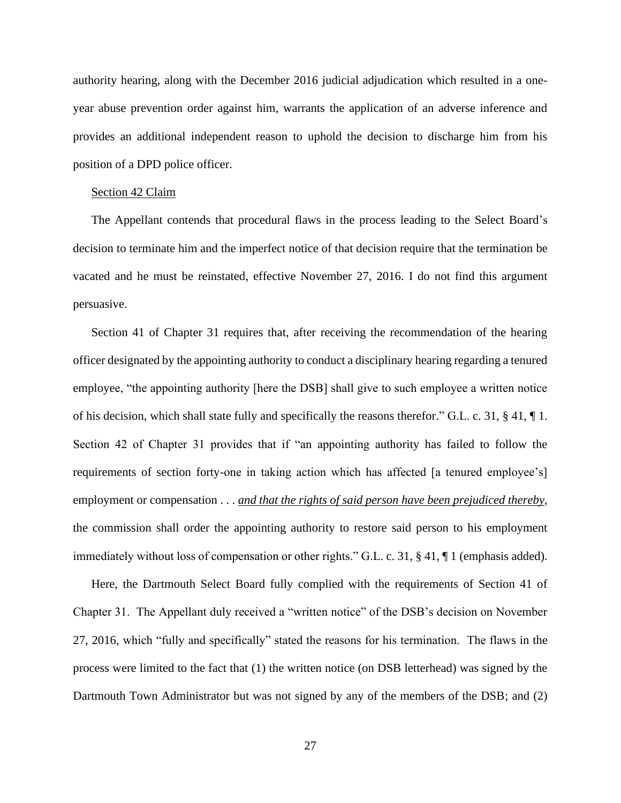authority hearing, along with the December 2016 judicial adjudication which resulted in a oneyear abuse prevention order against him, warrants the application of an adverse inference and provides an additional independent reason to uphold the decision to discharge him from his position of a DPD police officer.

#### Section 42 Claim

The Appellant contends that procedural flaws in the process leading to the Select Board's decision to terminate him and the imperfect notice of that decision require that the termination be vacated and he must be reinstated, effective November 27, 2016. I do not find this argument persuasive.

Section 41 of Chapter 31 requires that, after receiving the recommendation of the hearing officer designated by the appointing authority to conduct a disciplinary hearing regarding a tenured employee, "the appointing authority [here the DSB] shall give to such employee a written notice of his decision, which shall state fully and specifically the reasons therefor." G.L. c. 31, § 41, ¶ 1. Section 42 of Chapter 31 provides that if "an appointing authority has failed to follow the requirements of section forty-one in taking action which has affected [a tenured employee's] employment or compensation . . . *and that the rights of said person have been prejudiced thereby*, the commission shall order the appointing authority to restore said person to his employment immediately without loss of compensation or other rights." G.L. c. 31, § 41, ¶ 1 (emphasis added).

Here, the Dartmouth Select Board fully complied with the requirements of Section 41 of Chapter 31. The Appellant duly received a "written notice" of the DSB's decision on November 27, 2016, which "fully and specifically" stated the reasons for his termination. The flaws in the process were limited to the fact that (1) the written notice (on DSB letterhead) was signed by the Dartmouth Town Administrator but was not signed by any of the members of the DSB; and (2)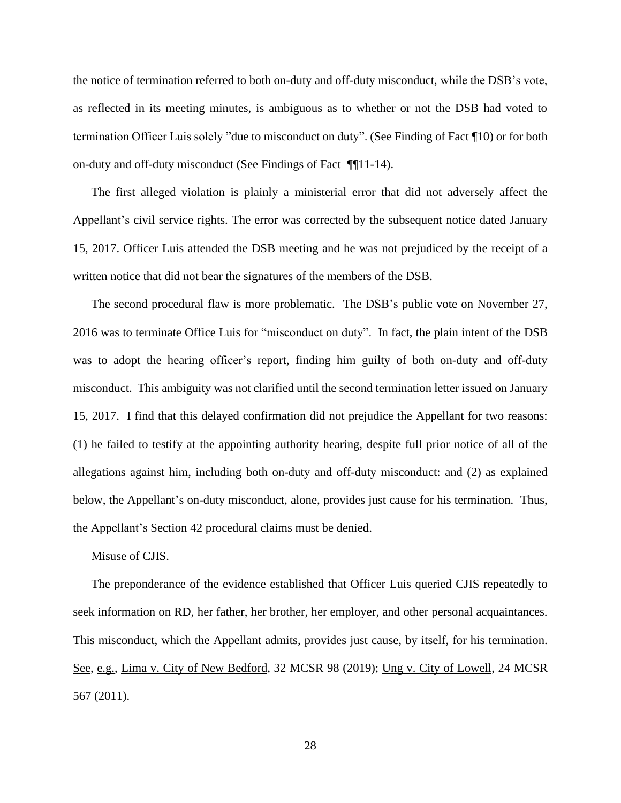the notice of termination referred to both on-duty and off-duty misconduct, while the DSB's vote, as reflected in its meeting minutes, is ambiguous as to whether or not the DSB had voted to termination Officer Luis solely "due to misconduct on duty". (See Finding of Fact ¶10) or for both on-duty and off-duty misconduct (See Findings of Fact ¶¶11-14).

The first alleged violation is plainly a ministerial error that did not adversely affect the Appellant's civil service rights. The error was corrected by the subsequent notice dated January 15, 2017. Officer Luis attended the DSB meeting and he was not prejudiced by the receipt of a written notice that did not bear the signatures of the members of the DSB.

The second procedural flaw is more problematic. The DSB's public vote on November 27, 2016 was to terminate Office Luis for "misconduct on duty". In fact, the plain intent of the DSB was to adopt the hearing officer's report, finding him guilty of both on-duty and off-duty misconduct. This ambiguity was not clarified until the second termination letter issued on January 15, 2017. I find that this delayed confirmation did not prejudice the Appellant for two reasons: (1) he failed to testify at the appointing authority hearing, despite full prior notice of all of the allegations against him, including both on-duty and off-duty misconduct: and (2) as explained below, the Appellant's on-duty misconduct, alone, provides just cause for his termination. Thus, the Appellant's Section 42 procedural claims must be denied.

#### Misuse of CJIS.

The preponderance of the evidence established that Officer Luis queried CJIS repeatedly to seek information on RD, her father, her brother, her employer, and other personal acquaintances. This misconduct, which the Appellant admits, provides just cause, by itself, for his termination. See, e.g., Lima v. City of New Bedford, 32 MCSR 98 (2019); Ung v. City of Lowell, 24 MCSR 567 (2011).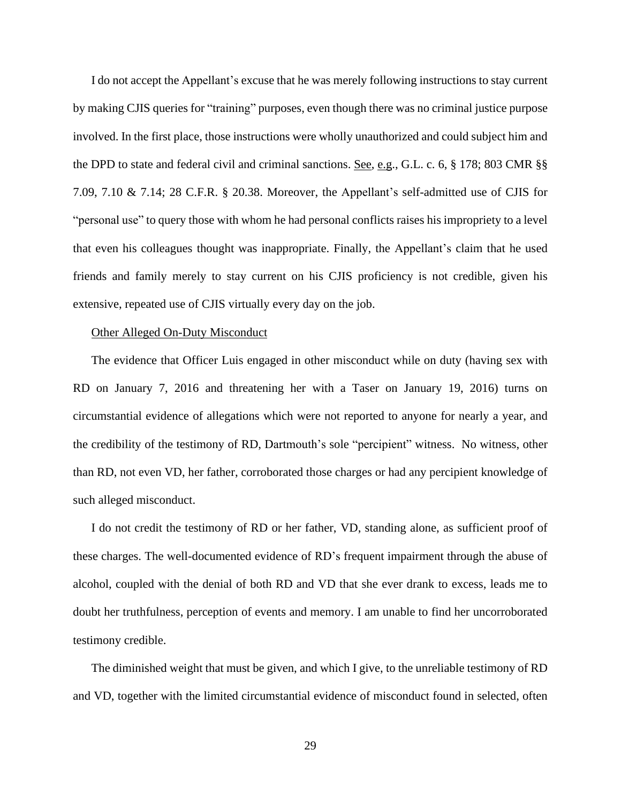I do not accept the Appellant's excuse that he was merely following instructions to stay current by making CJIS queries for "training" purposes, even though there was no criminal justice purpose involved. In the first place, those instructions were wholly unauthorized and could subject him and the DPD to state and federal civil and criminal sanctions. See, e.g., G.L. c. 6, § 178; 803 CMR §§ 7.09, 7.10 & 7.14; 28 C.F.R. § 20.38. Moreover, the Appellant's self-admitted use of CJIS for "personal use" to query those with whom he had personal conflicts raises his impropriety to a level that even his colleagues thought was inappropriate. Finally, the Appellant's claim that he used friends and family merely to stay current on his CJIS proficiency is not credible, given his extensive, repeated use of CJIS virtually every day on the job.

#### Other Alleged On-Duty Misconduct

The evidence that Officer Luis engaged in other misconduct while on duty (having sex with RD on January 7, 2016 and threatening her with a Taser on January 19, 2016) turns on circumstantial evidence of allegations which were not reported to anyone for nearly a year, and the credibility of the testimony of RD, Dartmouth's sole "percipient" witness. No witness, other than RD, not even VD, her father, corroborated those charges or had any percipient knowledge of such alleged misconduct.

I do not credit the testimony of RD or her father, VD, standing alone, as sufficient proof of these charges. The well-documented evidence of RD's frequent impairment through the abuse of alcohol, coupled with the denial of both RD and VD that she ever drank to excess, leads me to doubt her truthfulness, perception of events and memory. I am unable to find her uncorroborated testimony credible.

The diminished weight that must be given, and which I give, to the unreliable testimony of RD and VD, together with the limited circumstantial evidence of misconduct found in selected, often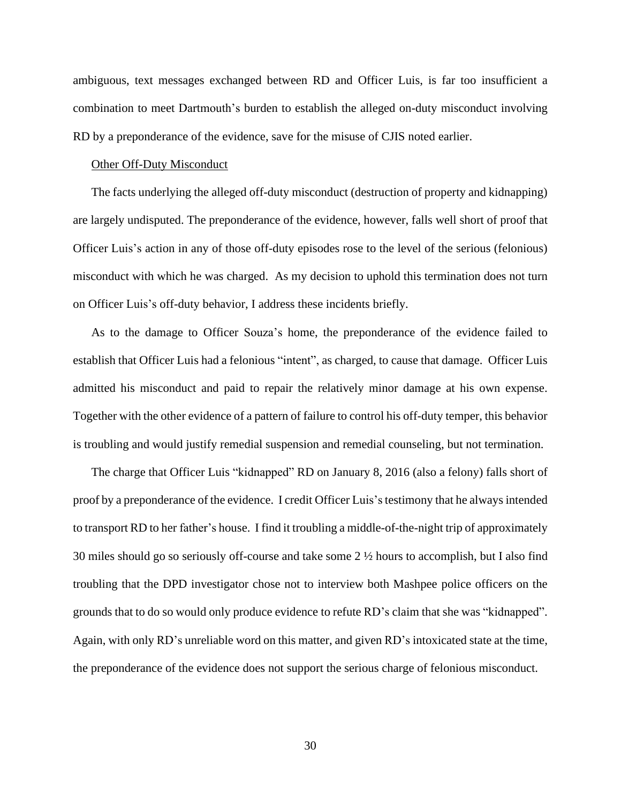ambiguous, text messages exchanged between RD and Officer Luis, is far too insufficient a combination to meet Dartmouth's burden to establish the alleged on-duty misconduct involving RD by a preponderance of the evidence, save for the misuse of CJIS noted earlier.

#### Other Off-Duty Misconduct

The facts underlying the alleged off-duty misconduct (destruction of property and kidnapping) are largely undisputed. The preponderance of the evidence, however, falls well short of proof that Officer Luis's action in any of those off-duty episodes rose to the level of the serious (felonious) misconduct with which he was charged. As my decision to uphold this termination does not turn on Officer Luis's off-duty behavior, I address these incidents briefly.

As to the damage to Officer Souza's home, the preponderance of the evidence failed to establish that Officer Luis had a felonious "intent", as charged, to cause that damage. Officer Luis admitted his misconduct and paid to repair the relatively minor damage at his own expense. Together with the other evidence of a pattern of failure to control his off-duty temper, this behavior is troubling and would justify remedial suspension and remedial counseling, but not termination.

The charge that Officer Luis "kidnapped" RD on January 8, 2016 (also a felony) falls short of proof by a preponderance of the evidence. I credit Officer Luis'stestimony that he alwaysintended to transport RD to her father's house. I find it troubling a middle-of-the-night trip of approximately 30 miles should go so seriously off-course and take some 2 ½ hours to accomplish, but I also find troubling that the DPD investigator chose not to interview both Mashpee police officers on the grounds that to do so would only produce evidence to refute RD's claim that she was "kidnapped". Again, with only RD's unreliable word on this matter, and given RD's intoxicated state at the time, the preponderance of the evidence does not support the serious charge of felonious misconduct.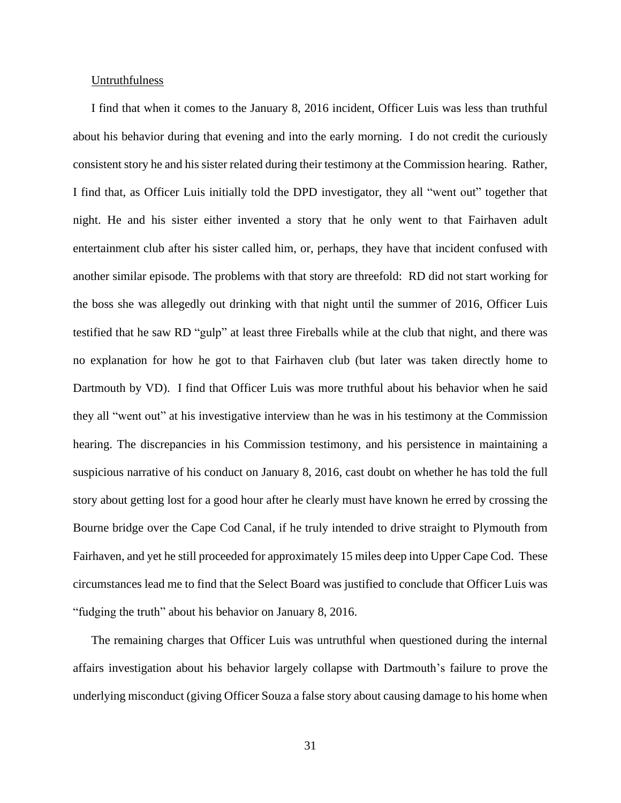#### **Untruthfulness**

I find that when it comes to the January 8, 2016 incident, Officer Luis was less than truthful about his behavior during that evening and into the early morning. I do not credit the curiously consistent story he and his sister related during their testimony at the Commission hearing. Rather, I find that, as Officer Luis initially told the DPD investigator, they all "went out" together that night. He and his sister either invented a story that he only went to that Fairhaven adult entertainment club after his sister called him, or, perhaps, they have that incident confused with another similar episode. The problems with that story are threefold: RD did not start working for the boss she was allegedly out drinking with that night until the summer of 2016, Officer Luis testified that he saw RD "gulp" at least three Fireballs while at the club that night, and there was no explanation for how he got to that Fairhaven club (but later was taken directly home to Dartmouth by VD). I find that Officer Luis was more truthful about his behavior when he said they all "went out" at his investigative interview than he was in his testimony at the Commission hearing. The discrepancies in his Commission testimony, and his persistence in maintaining a suspicious narrative of his conduct on January 8, 2016, cast doubt on whether he has told the full story about getting lost for a good hour after he clearly must have known he erred by crossing the Bourne bridge over the Cape Cod Canal, if he truly intended to drive straight to Plymouth from Fairhaven, and yet he still proceeded for approximately 15 miles deep into Upper Cape Cod. These circumstances lead me to find that the Select Board was justified to conclude that Officer Luis was "fudging the truth" about his behavior on January 8, 2016.

The remaining charges that Officer Luis was untruthful when questioned during the internal affairs investigation about his behavior largely collapse with Dartmouth's failure to prove the underlying misconduct (giving Officer Souza a false story about causing damage to his home when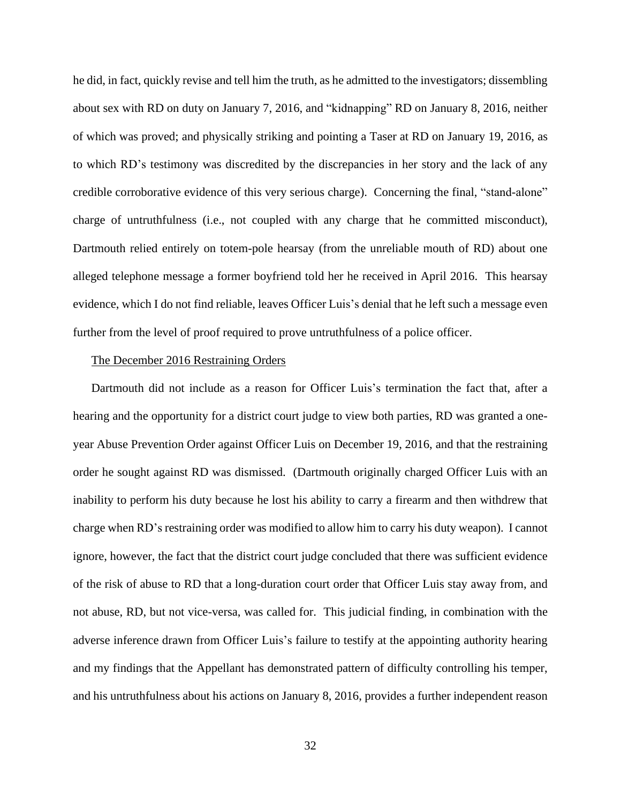he did, in fact, quickly revise and tell him the truth, as he admitted to the investigators; dissembling about sex with RD on duty on January 7, 2016, and "kidnapping" RD on January 8, 2016, neither of which was proved; and physically striking and pointing a Taser at RD on January 19, 2016, as to which RD's testimony was discredited by the discrepancies in her story and the lack of any credible corroborative evidence of this very serious charge). Concerning the final, "stand-alone" charge of untruthfulness (i.e., not coupled with any charge that he committed misconduct), Dartmouth relied entirely on totem-pole hearsay (from the unreliable mouth of RD) about one alleged telephone message a former boyfriend told her he received in April 2016. This hearsay evidence, which I do not find reliable, leaves Officer Luis's denial that he left such a message even further from the level of proof required to prove untruthfulness of a police officer.

### The December 2016 Restraining Orders

Dartmouth did not include as a reason for Officer Luis's termination the fact that, after a hearing and the opportunity for a district court judge to view both parties, RD was granted a oneyear Abuse Prevention Order against Officer Luis on December 19, 2016, and that the restraining order he sought against RD was dismissed. (Dartmouth originally charged Officer Luis with an inability to perform his duty because he lost his ability to carry a firearm and then withdrew that charge when RD's restraining order was modified to allow him to carry his duty weapon). I cannot ignore, however, the fact that the district court judge concluded that there was sufficient evidence of the risk of abuse to RD that a long-duration court order that Officer Luis stay away from, and not abuse, RD, but not vice-versa, was called for. This judicial finding, in combination with the adverse inference drawn from Officer Luis's failure to testify at the appointing authority hearing and my findings that the Appellant has demonstrated pattern of difficulty controlling his temper, and his untruthfulness about his actions on January 8, 2016, provides a further independent reason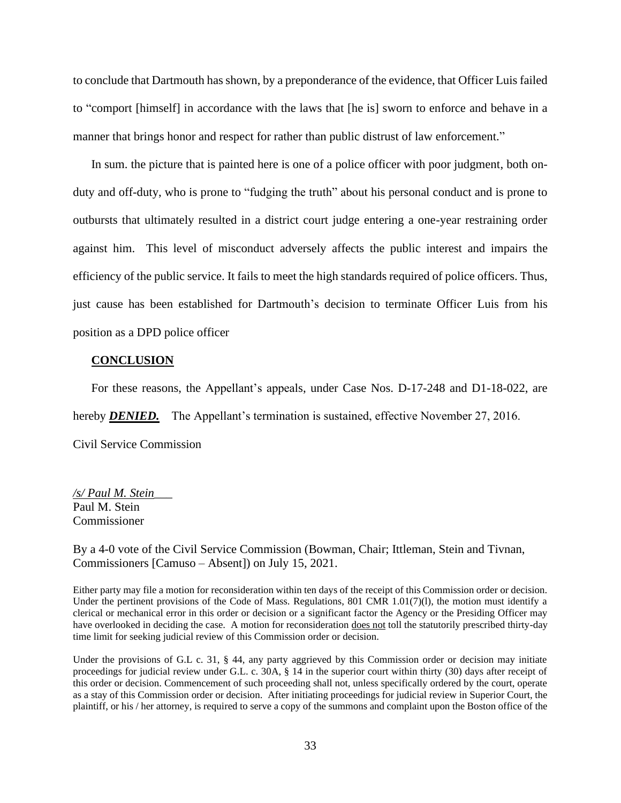to conclude that Dartmouth has shown, by a preponderance of the evidence, that Officer Luis failed to "comport [himself] in accordance with the laws that [he is] sworn to enforce and behave in a manner that brings honor and respect for rather than public distrust of law enforcement."

In sum. the picture that is painted here is one of a police officer with poor judgment, both onduty and off-duty, who is prone to "fudging the truth" about his personal conduct and is prone to outbursts that ultimately resulted in a district court judge entering a one-year restraining order against him. This level of misconduct adversely affects the public interest and impairs the efficiency of the public service. It fails to meet the high standards required of police officers. Thus, just cause has been established for Dartmouth's decision to terminate Officer Luis from his position as a DPD police officer

### **CONCLUSION**

For these reasons, the Appellant's appeals, under Case Nos. D-17-248 and D1-18-022, are

hereby **DENIED.** The Appellant's termination is sustained, effective November 27, 2016.

Civil Service Commission

*/s/ Paul M. Stein*\_\_\_ Paul M. Stein Commissioner

By a 4-0 vote of the Civil Service Commission (Bowman, Chair; Ittleman, Stein and Tivnan, Commissioners [Camuso – Absent]) on July 15, 2021.

Either party may file a motion for reconsideration within ten days of the receipt of this Commission order or decision. Under the pertinent provisions of the Code of Mass. Regulations, 801 CMR 1.01(7)(1), the motion must identify a clerical or mechanical error in this order or decision or a significant factor the Agency or the Presiding Officer may have overlooked in deciding the case. A motion for reconsideration does not toll the statutorily prescribed thirty-day time limit for seeking judicial review of this Commission order or decision.

Under the provisions of G.L c. 31, § 44, any party aggrieved by this Commission order or decision may initiate proceedings for judicial review under G.L. c. 30A, § 14 in the superior court within thirty (30) days after receipt of this order or decision. Commencement of such proceeding shall not, unless specifically ordered by the court, operate as a stay of this Commission order or decision. After initiating proceedings for judicial review in Superior Court, the plaintiff, or his / her attorney, is required to serve a copy of the summons and complaint upon the Boston office of the